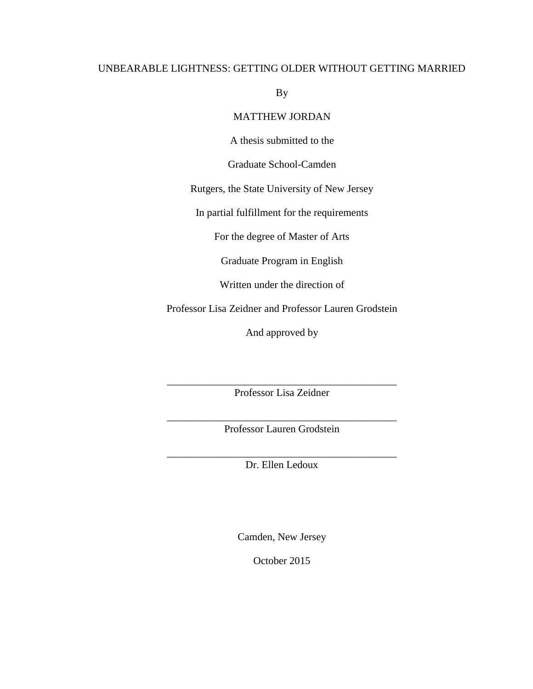## UNBEARABLE LIGHTNESS: GETTING OLDER WITHOUT GETTING MARRIED

By

### MATTHEW JORDAN

A thesis submitted to the

Graduate School-Camden

Rutgers, the State University of New Jersey

In partial fulfillment for the requirements

For the degree of Master of Arts

Graduate Program in English

Written under the direction of

Professor Lisa Zeidner and Professor Lauren Grodstein

And approved by

\_\_\_\_\_\_\_\_\_\_\_\_\_\_\_\_\_\_\_\_\_\_\_\_\_\_\_\_\_\_\_\_\_\_\_\_\_\_\_\_\_\_\_\_ Professor Lisa Zeidner

\_\_\_\_\_\_\_\_\_\_\_\_\_\_\_\_\_\_\_\_\_\_\_\_\_\_\_\_\_\_\_\_\_\_\_\_\_\_\_\_\_\_\_\_ Professor Lauren Grodstein

\_\_\_\_\_\_\_\_\_\_\_\_\_\_\_\_\_\_\_\_\_\_\_\_\_\_\_\_\_\_\_\_\_\_\_\_\_\_\_\_\_\_\_\_ Dr. Ellen Ledoux

Camden, New Jersey

October 2015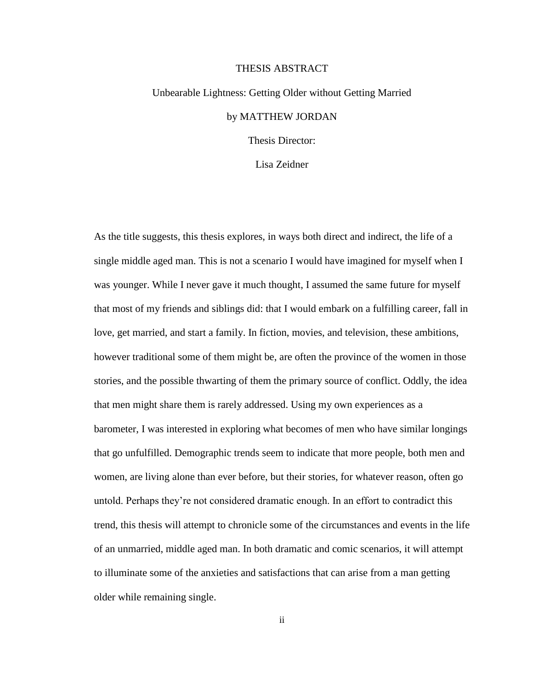#### THESIS ABSTRACT

# Unbearable Lightness: Getting Older without Getting Married by MATTHEW JORDAN

Thesis Director:

Lisa Zeidner

As the title suggests, this thesis explores, in ways both direct and indirect, the life of a single middle aged man. This is not a scenario I would have imagined for myself when I was younger. While I never gave it much thought, I assumed the same future for myself that most of my friends and siblings did: that I would embark on a fulfilling career, fall in love, get married, and start a family. In fiction, movies, and television, these ambitions, however traditional some of them might be, are often the province of the women in those stories, and the possible thwarting of them the primary source of conflict. Oddly, the idea that men might share them is rarely addressed. Using my own experiences as a barometer, I was interested in exploring what becomes of men who have similar longings that go unfulfilled. Demographic trends seem to indicate that more people, both men and women, are living alone than ever before, but their stories, for whatever reason, often go untold. Perhaps they're not considered dramatic enough. In an effort to contradict this trend, this thesis will attempt to chronicle some of the circumstances and events in the life of an unmarried, middle aged man. In both dramatic and comic scenarios, it will attempt to illuminate some of the anxieties and satisfactions that can arise from a man getting older while remaining single.

ii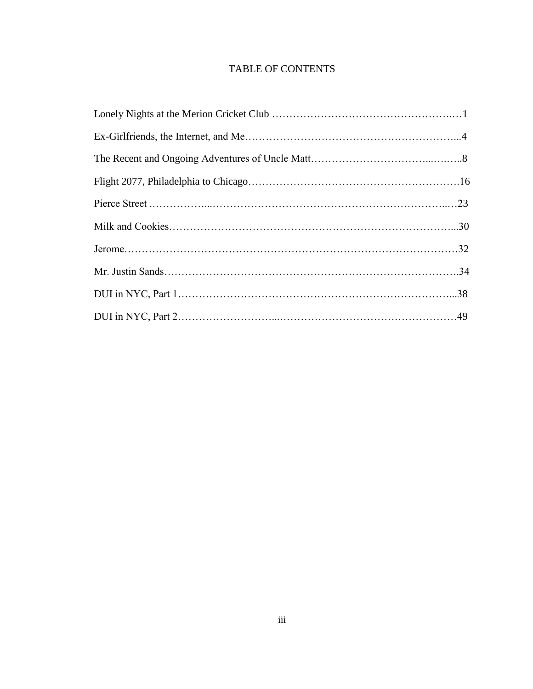# TABLE OF CONTENTS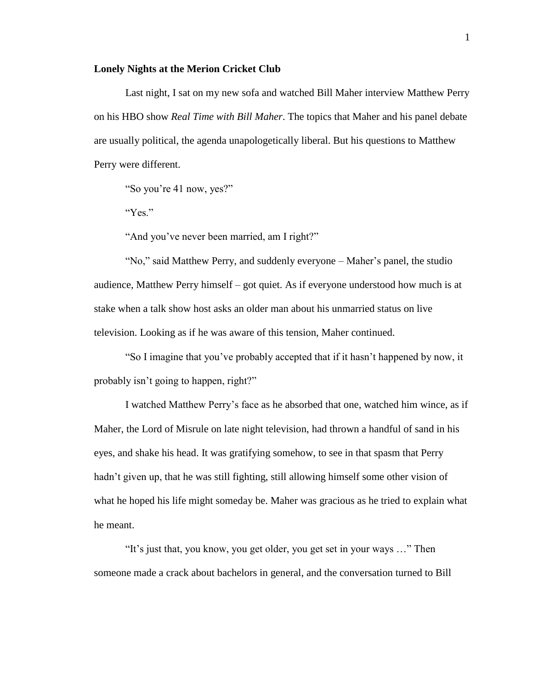#### **Lonely Nights at the Merion Cricket Club**

Last night, I sat on my new sofa and watched Bill Maher interview Matthew Perry on his HBO show *Real Time with Bill Maher*. The topics that Maher and his panel debate are usually political, the agenda unapologetically liberal. But his questions to Matthew Perry were different.

"So you're 41 now, yes?"

"Yes."

"And you've never been married, am I right?"

"No," said Matthew Perry, and suddenly everyone – Maher's panel, the studio audience, Matthew Perry himself – got quiet. As if everyone understood how much is at stake when a talk show host asks an older man about his unmarried status on live television. Looking as if he was aware of this tension, Maher continued.

"So I imagine that you've probably accepted that if it hasn't happened by now, it probably isn't going to happen, right?"

I watched Matthew Perry's face as he absorbed that one, watched him wince, as if Maher, the Lord of Misrule on late night television, had thrown a handful of sand in his eyes, and shake his head. It was gratifying somehow, to see in that spasm that Perry hadn't given up, that he was still fighting, still allowing himself some other vision of what he hoped his life might someday be. Maher was gracious as he tried to explain what he meant.

"It's just that, you know, you get older, you get set in your ways …" Then someone made a crack about bachelors in general, and the conversation turned to Bill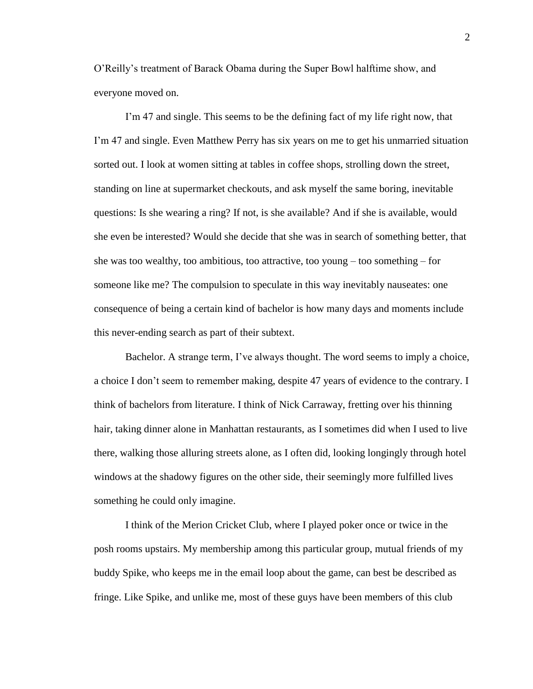O'Reilly's treatment of Barack Obama during the Super Bowl halftime show, and everyone moved on.

I'm 47 and single. This seems to be the defining fact of my life right now, that I'm 47 and single. Even Matthew Perry has six years on me to get his unmarried situation sorted out. I look at women sitting at tables in coffee shops, strolling down the street, standing on line at supermarket checkouts, and ask myself the same boring, inevitable questions: Is she wearing a ring? If not, is she available? And if she is available, would she even be interested? Would she decide that she was in search of something better, that she was too wealthy, too ambitious, too attractive, too young  $-$  too something  $-$  for someone like me? The compulsion to speculate in this way inevitably nauseates: one consequence of being a certain kind of bachelor is how many days and moments include this never-ending search as part of their subtext.

Bachelor. A strange term, I've always thought. The word seems to imply a choice, a choice I don't seem to remember making, despite 47 years of evidence to the contrary. I think of bachelors from literature. I think of Nick Carraway, fretting over his thinning hair, taking dinner alone in Manhattan restaurants, as I sometimes did when I used to live there, walking those alluring streets alone, as I often did, looking longingly through hotel windows at the shadowy figures on the other side, their seemingly more fulfilled lives something he could only imagine.

I think of the Merion Cricket Club, where I played poker once or twice in the posh rooms upstairs. My membership among this particular group, mutual friends of my buddy Spike, who keeps me in the email loop about the game, can best be described as fringe. Like Spike, and unlike me, most of these guys have been members of this club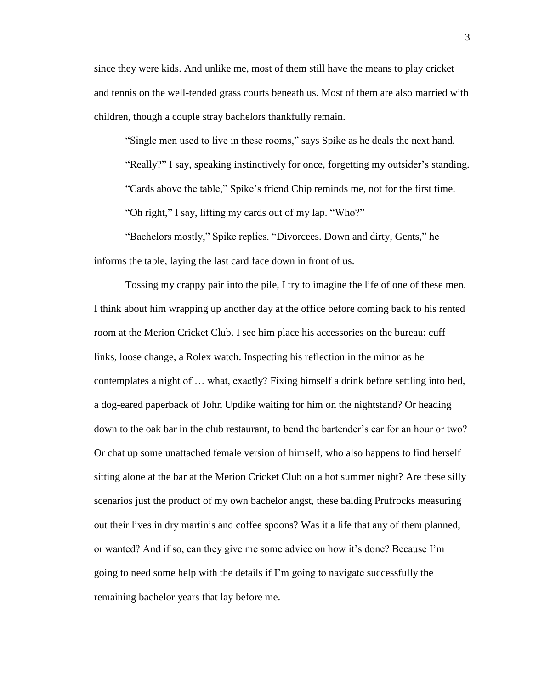since they were kids. And unlike me, most of them still have the means to play cricket and tennis on the well-tended grass courts beneath us. Most of them are also married with children, though a couple stray bachelors thankfully remain.

"Single men used to live in these rooms," says Spike as he deals the next hand.

"Really?" I say, speaking instinctively for once, forgetting my outsider's standing.

"Cards above the table," Spike's friend Chip reminds me, not for the first time.

"Oh right," I say, lifting my cards out of my lap. "Who?"

"Bachelors mostly," Spike replies. "Divorcees. Down and dirty, Gents," he informs the table, laying the last card face down in front of us.

Tossing my crappy pair into the pile, I try to imagine the life of one of these men. I think about him wrapping up another day at the office before coming back to his rented room at the Merion Cricket Club. I see him place his accessories on the bureau: cuff links, loose change, a Rolex watch. Inspecting his reflection in the mirror as he contemplates a night of … what, exactly? Fixing himself a drink before settling into bed, a dog-eared paperback of John Updike waiting for him on the nightstand? Or heading down to the oak bar in the club restaurant, to bend the bartender's ear for an hour or two? Or chat up some unattached female version of himself, who also happens to find herself sitting alone at the bar at the Merion Cricket Club on a hot summer night? Are these silly scenarios just the product of my own bachelor angst, these balding Prufrocks measuring out their lives in dry martinis and coffee spoons? Was it a life that any of them planned, or wanted? And if so, can they give me some advice on how it's done? Because I'm going to need some help with the details if I'm going to navigate successfully the remaining bachelor years that lay before me.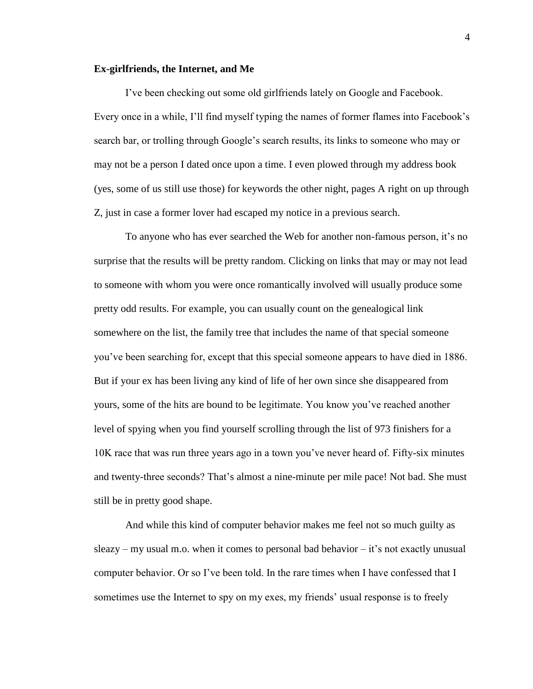#### **Ex-girlfriends, the Internet, and Me**

I've been checking out some old girlfriends lately on Google and Facebook. Every once in a while, I'll find myself typing the names of former flames into Facebook's search bar, or trolling through Google's search results, its links to someone who may or may not be a person I dated once upon a time. I even plowed through my address book (yes, some of us still use those) for keywords the other night, pages A right on up through Z, just in case a former lover had escaped my notice in a previous search.

To anyone who has ever searched the Web for another non-famous person, it's no surprise that the results will be pretty random. Clicking on links that may or may not lead to someone with whom you were once romantically involved will usually produce some pretty odd results. For example, you can usually count on the genealogical link somewhere on the list, the family tree that includes the name of that special someone you've been searching for, except that this special someone appears to have died in 1886. But if your ex has been living any kind of life of her own since she disappeared from yours, some of the hits are bound to be legitimate. You know you've reached another level of spying when you find yourself scrolling through the list of 973 finishers for a 10K race that was run three years ago in a town you've never heard of. Fifty-six minutes and twenty-three seconds? That's almost a nine-minute per mile pace! Not bad. She must still be in pretty good shape.

And while this kind of computer behavior makes me feel not so much guilty as sleazy – my usual m.o. when it comes to personal bad behavior – it's not exactly unusual computer behavior. Or so I've been told. In the rare times when I have confessed that I sometimes use the Internet to spy on my exes, my friends' usual response is to freely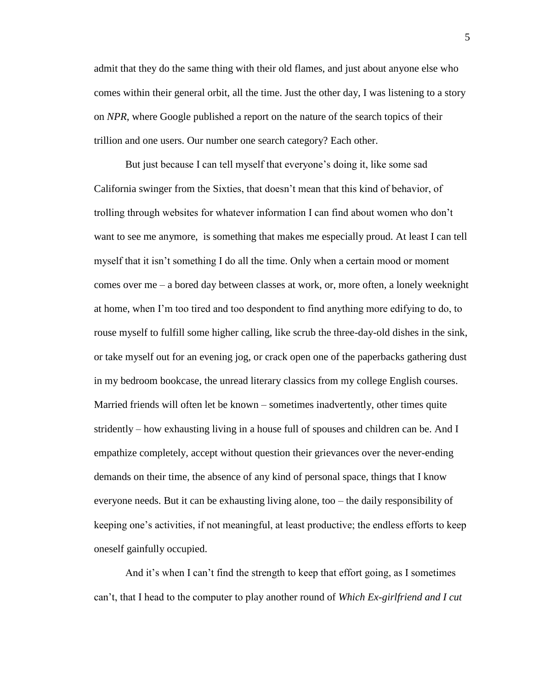admit that they do the same thing with their old flames, and just about anyone else who comes within their general orbit, all the time. Just the other day, I was listening to a story on *NPR*, where Google published a report on the nature of the search topics of their trillion and one users. Our number one search category? Each other.

But just because I can tell myself that everyone's doing it, like some sad California swinger from the Sixties, that doesn't mean that this kind of behavior, of trolling through websites for whatever information I can find about women who don't want to see me anymore, is something that makes me especially proud. At least I can tell myself that it isn't something I do all the time. Only when a certain mood or moment comes over me – a bored day between classes at work, or, more often, a lonely weeknight at home, when I'm too tired and too despondent to find anything more edifying to do, to rouse myself to fulfill some higher calling, like scrub the three-day-old dishes in the sink, or take myself out for an evening jog, or crack open one of the paperbacks gathering dust in my bedroom bookcase, the unread literary classics from my college English courses. Married friends will often let be known – sometimes inadvertently, other times quite stridently – how exhausting living in a house full of spouses and children can be. And I empathize completely, accept without question their grievances over the never-ending demands on their time, the absence of any kind of personal space, things that I know everyone needs. But it can be exhausting living alone, too – the daily responsibility of keeping one's activities, if not meaningful, at least productive; the endless efforts to keep oneself gainfully occupied.

And it's when I can't find the strength to keep that effort going, as I sometimes can't, that I head to the computer to play another round of *Which Ex-girlfriend and I cut*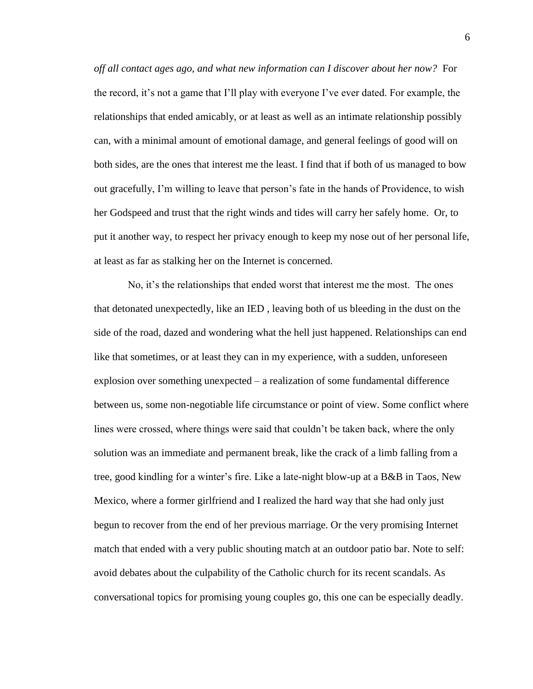*off all contact ages ago, and what new information can I discover about her now?* For the record, it's not a game that I'll play with everyone I've ever dated. For example, the relationships that ended amicably, or at least as well as an intimate relationship possibly can, with a minimal amount of emotional damage, and general feelings of good will on both sides, are the ones that interest me the least. I find that if both of us managed to bow out gracefully, I'm willing to leave that person's fate in the hands of Providence, to wish her Godspeed and trust that the right winds and tides will carry her safely home. Or, to put it another way, to respect her privacy enough to keep my nose out of her personal life, at least as far as stalking her on the Internet is concerned.

No, it's the relationships that ended worst that interest me the most. The ones that detonated unexpectedly, like an IED , leaving both of us bleeding in the dust on the side of the road, dazed and wondering what the hell just happened. Relationships can end like that sometimes, or at least they can in my experience, with a sudden, unforeseen explosion over something unexpected – a realization of some fundamental difference between us, some non-negotiable life circumstance or point of view. Some conflict where lines were crossed, where things were said that couldn't be taken back, where the only solution was an immediate and permanent break, like the crack of a limb falling from a tree, good kindling for a winter's fire. Like a late-night blow-up at a B&B in Taos, New Mexico, where a former girlfriend and I realized the hard way that she had only just begun to recover from the end of her previous marriage. Or the very promising Internet match that ended with a very public shouting match at an outdoor patio bar. Note to self: avoid debates about the culpability of the Catholic church for its recent scandals. As conversational topics for promising young couples go, this one can be especially deadly.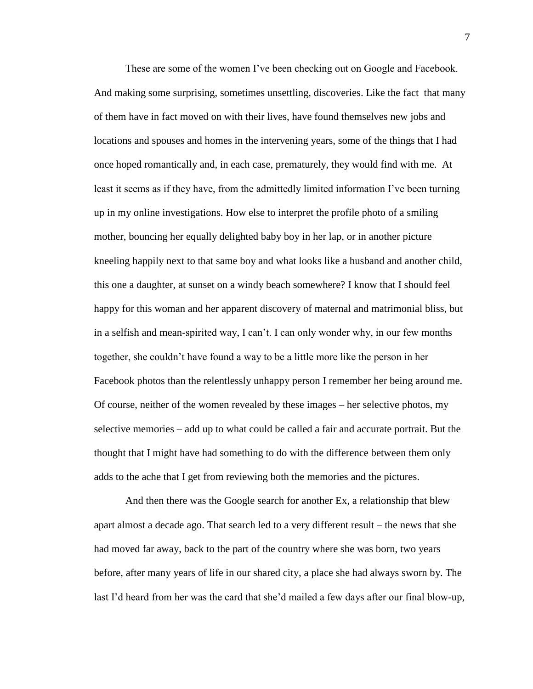These are some of the women I've been checking out on Google and Facebook. And making some surprising, sometimes unsettling, discoveries. Like the fact that many of them have in fact moved on with their lives, have found themselves new jobs and locations and spouses and homes in the intervening years, some of the things that I had once hoped romantically and, in each case, prematurely, they would find with me. At least it seems as if they have, from the admittedly limited information I've been turning up in my online investigations. How else to interpret the profile photo of a smiling mother, bouncing her equally delighted baby boy in her lap, or in another picture kneeling happily next to that same boy and what looks like a husband and another child, this one a daughter, at sunset on a windy beach somewhere? I know that I should feel happy for this woman and her apparent discovery of maternal and matrimonial bliss, but in a selfish and mean-spirited way, I can't. I can only wonder why, in our few months together, she couldn't have found a way to be a little more like the person in her Facebook photos than the relentlessly unhappy person I remember her being around me. Of course, neither of the women revealed by these images – her selective photos, my selective memories – add up to what could be called a fair and accurate portrait. But the thought that I might have had something to do with the difference between them only adds to the ache that I get from reviewing both the memories and the pictures.

And then there was the Google search for another Ex, a relationship that blew apart almost a decade ago. That search led to a very different result – the news that she had moved far away, back to the part of the country where she was born, two years before, after many years of life in our shared city, a place she had always sworn by. The last I'd heard from her was the card that she'd mailed a few days after our final blow-up,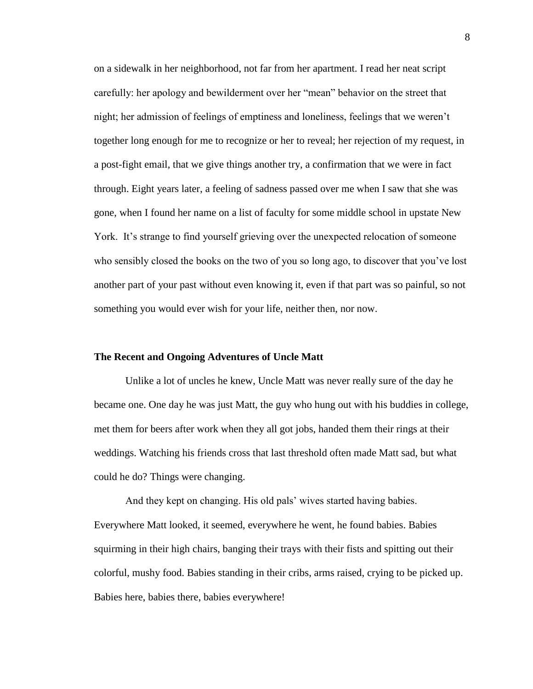on a sidewalk in her neighborhood, not far from her apartment. I read her neat script carefully: her apology and bewilderment over her "mean" behavior on the street that night; her admission of feelings of emptiness and loneliness, feelings that we weren't together long enough for me to recognize or her to reveal; her rejection of my request, in a post-fight email, that we give things another try, a confirmation that we were in fact through. Eight years later, a feeling of sadness passed over me when I saw that she was gone, when I found her name on a list of faculty for some middle school in upstate New York. It's strange to find yourself grieving over the unexpected relocation of someone who sensibly closed the books on the two of you so long ago, to discover that you've lost another part of your past without even knowing it, even if that part was so painful, so not something you would ever wish for your life, neither then, nor now.

#### **The Recent and Ongoing Adventures of Uncle Matt**

Unlike a lot of uncles he knew, Uncle Matt was never really sure of the day he became one. One day he was just Matt, the guy who hung out with his buddies in college, met them for beers after work when they all got jobs, handed them their rings at their weddings. Watching his friends cross that last threshold often made Matt sad, but what could he do? Things were changing.

And they kept on changing. His old pals' wives started having babies. Everywhere Matt looked, it seemed, everywhere he went, he found babies. Babies squirming in their high chairs, banging their trays with their fists and spitting out their colorful, mushy food. Babies standing in their cribs, arms raised, crying to be picked up. Babies here, babies there, babies everywhere!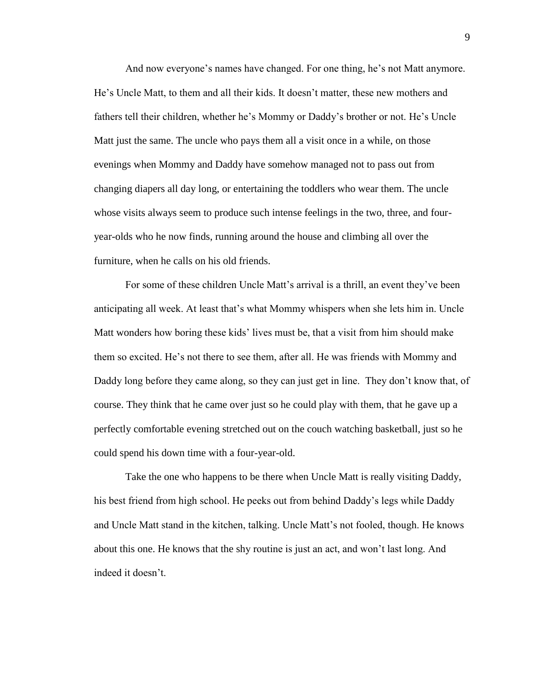And now everyone's names have changed. For one thing, he's not Matt anymore. He's Uncle Matt, to them and all their kids. It doesn't matter, these new mothers and fathers tell their children, whether he's Mommy or Daddy's brother or not. He's Uncle Matt just the same. The uncle who pays them all a visit once in a while, on those evenings when Mommy and Daddy have somehow managed not to pass out from changing diapers all day long, or entertaining the toddlers who wear them. The uncle whose visits always seem to produce such intense feelings in the two, three, and fouryear-olds who he now finds, running around the house and climbing all over the furniture, when he calls on his old friends.

For some of these children Uncle Matt's arrival is a thrill, an event they've been anticipating all week. At least that's what Mommy whispers when she lets him in. Uncle Matt wonders how boring these kids' lives must be, that a visit from him should make them so excited. He's not there to see them, after all. He was friends with Mommy and Daddy long before they came along, so they can just get in line. They don't know that, of course. They think that he came over just so he could play with them, that he gave up a perfectly comfortable evening stretched out on the couch watching basketball, just so he could spend his down time with a four-year-old.

Take the one who happens to be there when Uncle Matt is really visiting Daddy, his best friend from high school. He peeks out from behind Daddy's legs while Daddy and Uncle Matt stand in the kitchen, talking. Uncle Matt's not fooled, though. He knows about this one. He knows that the shy routine is just an act, and won't last long. And indeed it doesn't.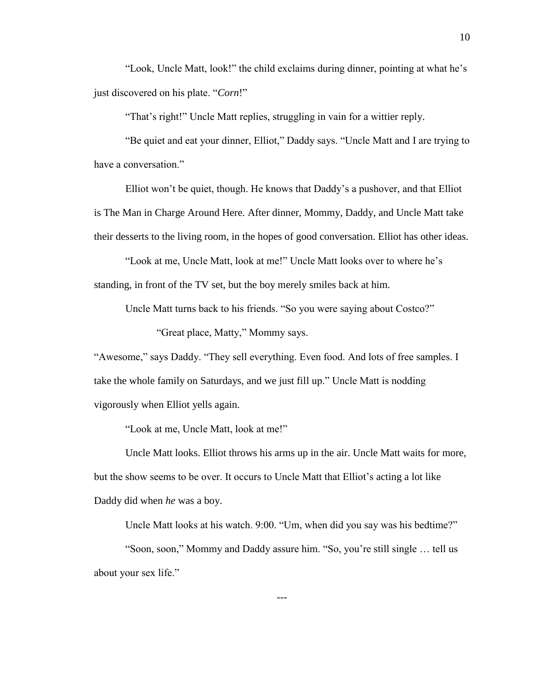"Look, Uncle Matt, look!" the child exclaims during dinner, pointing at what he's just discovered on his plate. "*Corn*!"

"That's right!" Uncle Matt replies, struggling in vain for a wittier reply.

"Be quiet and eat your dinner, Elliot," Daddy says. "Uncle Matt and I are trying to have a conversation."

Elliot won't be quiet, though. He knows that Daddy's a pushover, and that Elliot is The Man in Charge Around Here. After dinner, Mommy, Daddy, and Uncle Matt take their desserts to the living room, in the hopes of good conversation. Elliot has other ideas.

"Look at me, Uncle Matt, look at me!" Uncle Matt looks over to where he's standing, in front of the TV set, but the boy merely smiles back at him.

Uncle Matt turns back to his friends. "So you were saying about Costco?"

"Great place, Matty," Mommy says.

"Awesome," says Daddy. "They sell everything. Even food. And lots of free samples. I take the whole family on Saturdays, and we just fill up." Uncle Matt is nodding vigorously when Elliot yells again.

"Look at me, Uncle Matt, look at me!"

Uncle Matt looks. Elliot throws his arms up in the air. Uncle Matt waits for more, but the show seems to be over. It occurs to Uncle Matt that Elliot's acting a lot like Daddy did when *he* was a boy.

Uncle Matt looks at his watch. 9:00. "Um, when did you say was his bedtime?"

"Soon, soon," Mommy and Daddy assure him. "So, you're still single … tell us about your sex life."

---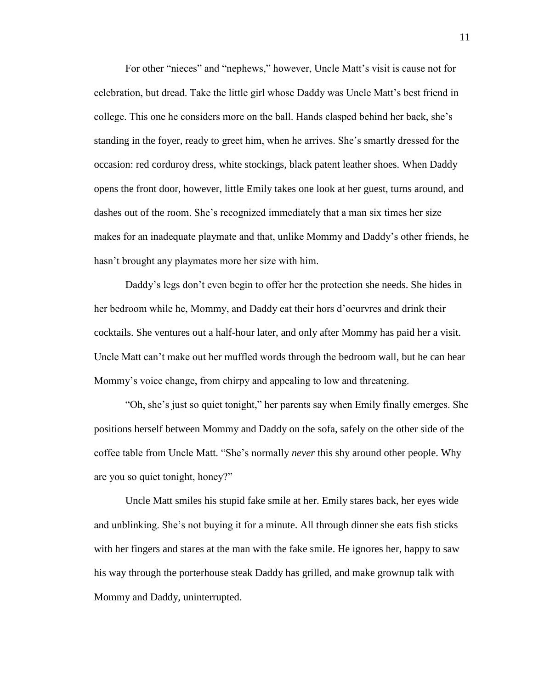For other "nieces" and "nephews," however, Uncle Matt's visit is cause not for celebration, but dread. Take the little girl whose Daddy was Uncle Matt's best friend in college. This one he considers more on the ball. Hands clasped behind her back, she's standing in the foyer, ready to greet him, when he arrives. She's smartly dressed for the occasion: red corduroy dress, white stockings, black patent leather shoes. When Daddy opens the front door, however, little Emily takes one look at her guest, turns around, and dashes out of the room. She's recognized immediately that a man six times her size makes for an inadequate playmate and that, unlike Mommy and Daddy's other friends, he hasn't brought any playmates more her size with him.

Daddy's legs don't even begin to offer her the protection she needs. She hides in her bedroom while he, Mommy, and Daddy eat their hors d'oeurvres and drink their cocktails. She ventures out a half-hour later, and only after Mommy has paid her a visit. Uncle Matt can't make out her muffled words through the bedroom wall, but he can hear Mommy's voice change, from chirpy and appealing to low and threatening.

"Oh, she's just so quiet tonight," her parents say when Emily finally emerges. She positions herself between Mommy and Daddy on the sofa, safely on the other side of the coffee table from Uncle Matt. "She's normally *never* this shy around other people. Why are you so quiet tonight, honey?"

Uncle Matt smiles his stupid fake smile at her. Emily stares back, her eyes wide and unblinking. She's not buying it for a minute. All through dinner she eats fish sticks with her fingers and stares at the man with the fake smile. He ignores her, happy to saw his way through the porterhouse steak Daddy has grilled, and make grownup talk with Mommy and Daddy, uninterrupted.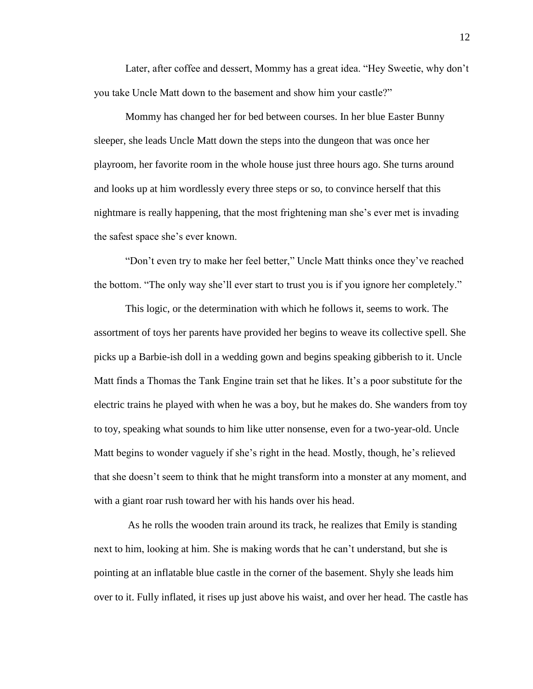Later, after coffee and dessert, Mommy has a great idea. "Hey Sweetie, why don't you take Uncle Matt down to the basement and show him your castle?"

Mommy has changed her for bed between courses. In her blue Easter Bunny sleeper, she leads Uncle Matt down the steps into the dungeon that was once her playroom, her favorite room in the whole house just three hours ago. She turns around and looks up at him wordlessly every three steps or so, to convince herself that this nightmare is really happening, that the most frightening man she's ever met is invading the safest space she's ever known.

"Don't even try to make her feel better," Uncle Matt thinks once they've reached the bottom. "The only way she'll ever start to trust you is if you ignore her completely."

This logic, or the determination with which he follows it, seems to work. The assortment of toys her parents have provided her begins to weave its collective spell. She picks up a Barbie-ish doll in a wedding gown and begins speaking gibberish to it. Uncle Matt finds a Thomas the Tank Engine train set that he likes. It's a poor substitute for the electric trains he played with when he was a boy, but he makes do. She wanders from toy to toy, speaking what sounds to him like utter nonsense, even for a two-year-old. Uncle Matt begins to wonder vaguely if she's right in the head. Mostly, though, he's relieved that she doesn't seem to think that he might transform into a monster at any moment, and with a giant roar rush toward her with his hands over his head.

As he rolls the wooden train around its track, he realizes that Emily is standing next to him, looking at him. She is making words that he can't understand, but she is pointing at an inflatable blue castle in the corner of the basement. Shyly she leads him over to it. Fully inflated, it rises up just above his waist, and over her head. The castle has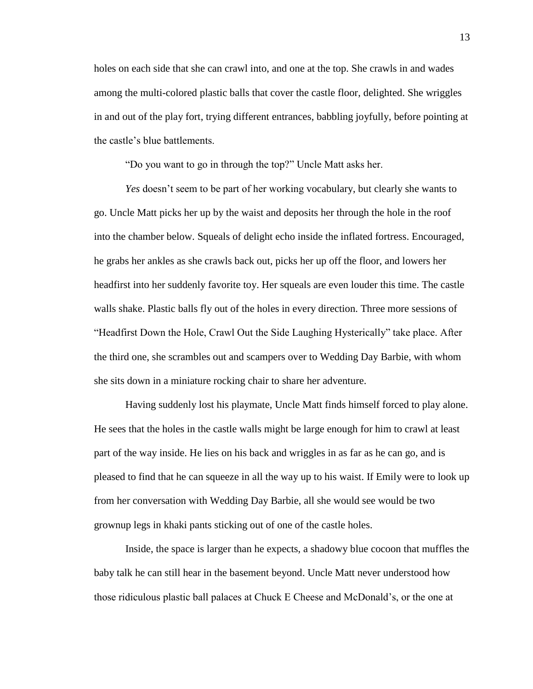holes on each side that she can crawl into, and one at the top. She crawls in and wades among the multi-colored plastic balls that cover the castle floor, delighted. She wriggles in and out of the play fort, trying different entrances, babbling joyfully, before pointing at the castle's blue battlements.

"Do you want to go in through the top?" Uncle Matt asks her.

*Yes* doesn't seem to be part of her working vocabulary, but clearly she wants to go. Uncle Matt picks her up by the waist and deposits her through the hole in the roof into the chamber below. Squeals of delight echo inside the inflated fortress. Encouraged, he grabs her ankles as she crawls back out, picks her up off the floor, and lowers her headfirst into her suddenly favorite toy. Her squeals are even louder this time. The castle walls shake. Plastic balls fly out of the holes in every direction. Three more sessions of "Headfirst Down the Hole, Crawl Out the Side Laughing Hysterically" take place. After the third one, she scrambles out and scampers over to Wedding Day Barbie, with whom she sits down in a miniature rocking chair to share her adventure.

Having suddenly lost his playmate, Uncle Matt finds himself forced to play alone. He sees that the holes in the castle walls might be large enough for him to crawl at least part of the way inside. He lies on his back and wriggles in as far as he can go, and is pleased to find that he can squeeze in all the way up to his waist. If Emily were to look up from her conversation with Wedding Day Barbie, all she would see would be two grownup legs in khaki pants sticking out of one of the castle holes.

Inside, the space is larger than he expects, a shadowy blue cocoon that muffles the baby talk he can still hear in the basement beyond. Uncle Matt never understood how those ridiculous plastic ball palaces at Chuck E Cheese and McDonald's, or the one at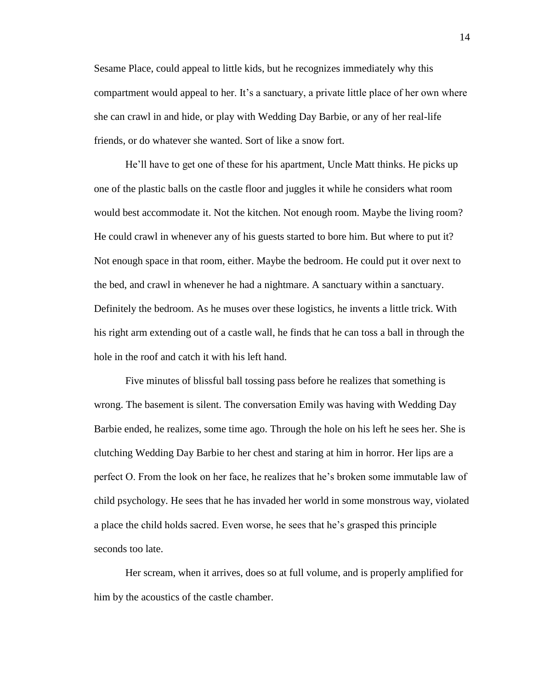Sesame Place, could appeal to little kids, but he recognizes immediately why this compartment would appeal to her. It's a sanctuary, a private little place of her own where she can crawl in and hide, or play with Wedding Day Barbie, or any of her real-life friends, or do whatever she wanted. Sort of like a snow fort.

He'll have to get one of these for his apartment, Uncle Matt thinks. He picks up one of the plastic balls on the castle floor and juggles it while he considers what room would best accommodate it. Not the kitchen. Not enough room. Maybe the living room? He could crawl in whenever any of his guests started to bore him. But where to put it? Not enough space in that room, either. Maybe the bedroom. He could put it over next to the bed, and crawl in whenever he had a nightmare. A sanctuary within a sanctuary. Definitely the bedroom. As he muses over these logistics, he invents a little trick. With his right arm extending out of a castle wall, he finds that he can toss a ball in through the hole in the roof and catch it with his left hand.

Five minutes of blissful ball tossing pass before he realizes that something is wrong. The basement is silent. The conversation Emily was having with Wedding Day Barbie ended, he realizes, some time ago. Through the hole on his left he sees her. She is clutching Wedding Day Barbie to her chest and staring at him in horror. Her lips are a perfect O. From the look on her face, he realizes that he's broken some immutable law of child psychology. He sees that he has invaded her world in some monstrous way, violated a place the child holds sacred. Even worse, he sees that he's grasped this principle seconds too late.

Her scream, when it arrives, does so at full volume, and is properly amplified for him by the acoustics of the castle chamber.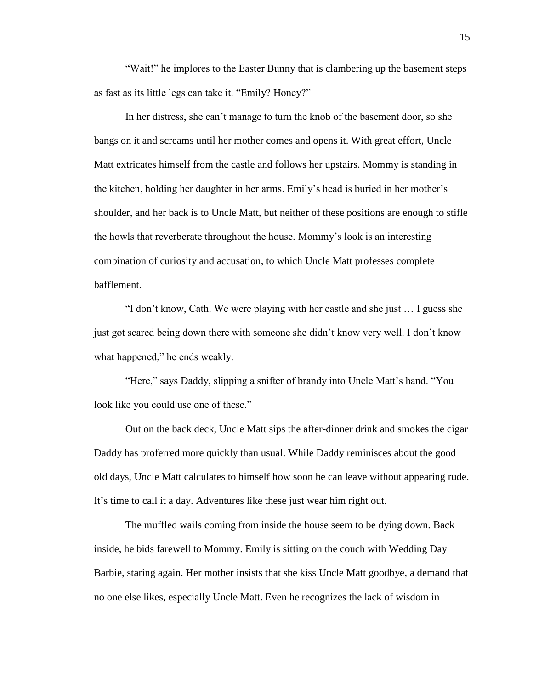"Wait!" he implores to the Easter Bunny that is clambering up the basement steps as fast as its little legs can take it. "Emily? Honey?"

In her distress, she can't manage to turn the knob of the basement door, so she bangs on it and screams until her mother comes and opens it. With great effort, Uncle Matt extricates himself from the castle and follows her upstairs. Mommy is standing in the kitchen, holding her daughter in her arms. Emily's head is buried in her mother's shoulder, and her back is to Uncle Matt, but neither of these positions are enough to stifle the howls that reverberate throughout the house. Mommy's look is an interesting combination of curiosity and accusation, to which Uncle Matt professes complete bafflement.

"I don't know, Cath. We were playing with her castle and she just … I guess she just got scared being down there with someone she didn't know very well. I don't know what happened," he ends weakly.

"Here," says Daddy, slipping a snifter of brandy into Uncle Matt's hand. "You look like you could use one of these."

Out on the back deck, Uncle Matt sips the after-dinner drink and smokes the cigar Daddy has proferred more quickly than usual. While Daddy reminisces about the good old days, Uncle Matt calculates to himself how soon he can leave without appearing rude. It's time to call it a day. Adventures like these just wear him right out.

The muffled wails coming from inside the house seem to be dying down. Back inside, he bids farewell to Mommy. Emily is sitting on the couch with Wedding Day Barbie, staring again. Her mother insists that she kiss Uncle Matt goodbye, a demand that no one else likes, especially Uncle Matt. Even he recognizes the lack of wisdom in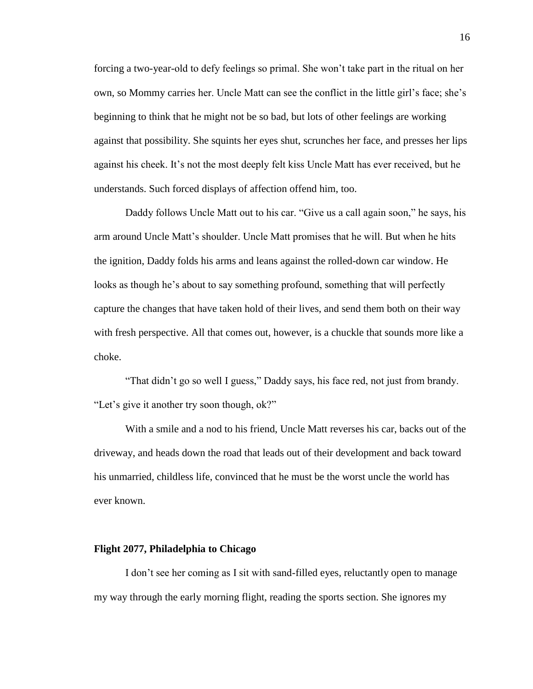forcing a two-year-old to defy feelings so primal. She won't take part in the ritual on her own, so Mommy carries her. Uncle Matt can see the conflict in the little girl's face; she's beginning to think that he might not be so bad, but lots of other feelings are working against that possibility. She squints her eyes shut, scrunches her face, and presses her lips against his cheek. It's not the most deeply felt kiss Uncle Matt has ever received, but he understands. Such forced displays of affection offend him, too.

Daddy follows Uncle Matt out to his car. "Give us a call again soon," he says, his arm around Uncle Matt's shoulder. Uncle Matt promises that he will. But when he hits the ignition, Daddy folds his arms and leans against the rolled-down car window. He looks as though he's about to say something profound, something that will perfectly capture the changes that have taken hold of their lives, and send them both on their way with fresh perspective. All that comes out, however, is a chuckle that sounds more like a choke.

"That didn't go so well I guess," Daddy says, his face red, not just from brandy. "Let's give it another try soon though, ok?"

With a smile and a nod to his friend, Uncle Matt reverses his car, backs out of the driveway, and heads down the road that leads out of their development and back toward his unmarried, childless life, convinced that he must be the worst uncle the world has ever known.

#### **Flight 2077, Philadelphia to Chicago**

I don't see her coming as I sit with sand-filled eyes, reluctantly open to manage my way through the early morning flight, reading the sports section. She ignores my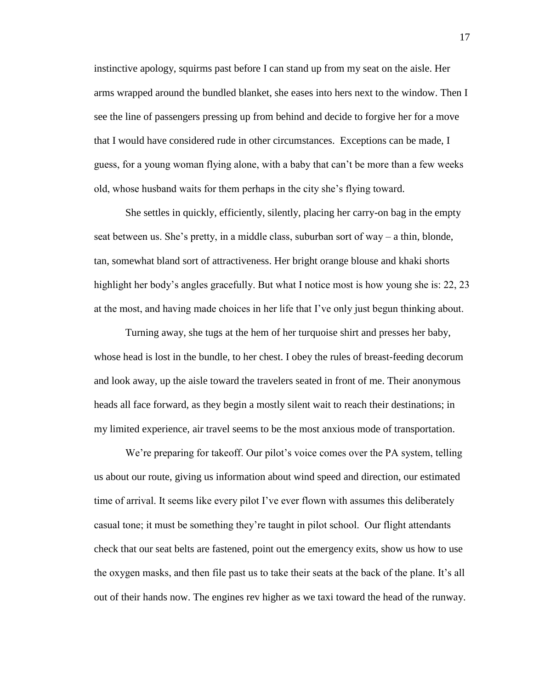instinctive apology, squirms past before I can stand up from my seat on the aisle. Her arms wrapped around the bundled blanket, she eases into hers next to the window. Then I see the line of passengers pressing up from behind and decide to forgive her for a move that I would have considered rude in other circumstances. Exceptions can be made, I guess, for a young woman flying alone, with a baby that can't be more than a few weeks old, whose husband waits for them perhaps in the city she's flying toward.

She settles in quickly, efficiently, silently, placing her carry-on bag in the empty seat between us. She's pretty, in a middle class, suburban sort of way – a thin, blonde, tan, somewhat bland sort of attractiveness. Her bright orange blouse and khaki shorts highlight her body's angles gracefully. But what I notice most is how young she is: 22, 23 at the most, and having made choices in her life that I've only just begun thinking about.

Turning away, she tugs at the hem of her turquoise shirt and presses her baby, whose head is lost in the bundle, to her chest. I obey the rules of breast-feeding decorum and look away, up the aisle toward the travelers seated in front of me. Their anonymous heads all face forward, as they begin a mostly silent wait to reach their destinations; in my limited experience, air travel seems to be the most anxious mode of transportation.

We're preparing for takeoff. Our pilot's voice comes over the PA system, telling us about our route, giving us information about wind speed and direction, our estimated time of arrival. It seems like every pilot I've ever flown with assumes this deliberately casual tone; it must be something they're taught in pilot school. Our flight attendants check that our seat belts are fastened, point out the emergency exits, show us how to use the oxygen masks, and then file past us to take their seats at the back of the plane. It's all out of their hands now. The engines rev higher as we taxi toward the head of the runway.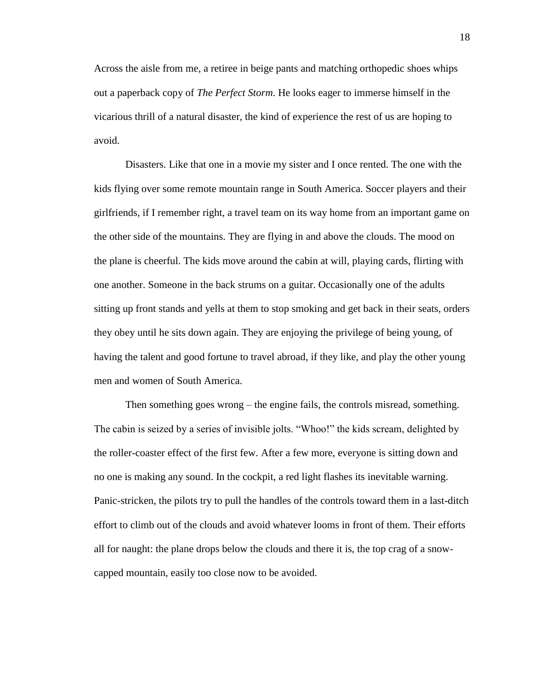Across the aisle from me, a retiree in beige pants and matching orthopedic shoes whips out a paperback copy of *The Perfect Storm*. He looks eager to immerse himself in the vicarious thrill of a natural disaster, the kind of experience the rest of us are hoping to avoid.

Disasters. Like that one in a movie my sister and I once rented. The one with the kids flying over some remote mountain range in South America. Soccer players and their girlfriends, if I remember right, a travel team on its way home from an important game on the other side of the mountains. They are flying in and above the clouds. The mood on the plane is cheerful. The kids move around the cabin at will, playing cards, flirting with one another. Someone in the back strums on a guitar. Occasionally one of the adults sitting up front stands and yells at them to stop smoking and get back in their seats, orders they obey until he sits down again. They are enjoying the privilege of being young, of having the talent and good fortune to travel abroad, if they like, and play the other young men and women of South America.

Then something goes wrong – the engine fails, the controls misread, something. The cabin is seized by a series of invisible jolts. "Whoo!" the kids scream, delighted by the roller-coaster effect of the first few. After a few more, everyone is sitting down and no one is making any sound. In the cockpit, a red light flashes its inevitable warning. Panic-stricken, the pilots try to pull the handles of the controls toward them in a last-ditch effort to climb out of the clouds and avoid whatever looms in front of them. Their efforts all for naught: the plane drops below the clouds and there it is, the top crag of a snowcapped mountain, easily too close now to be avoided.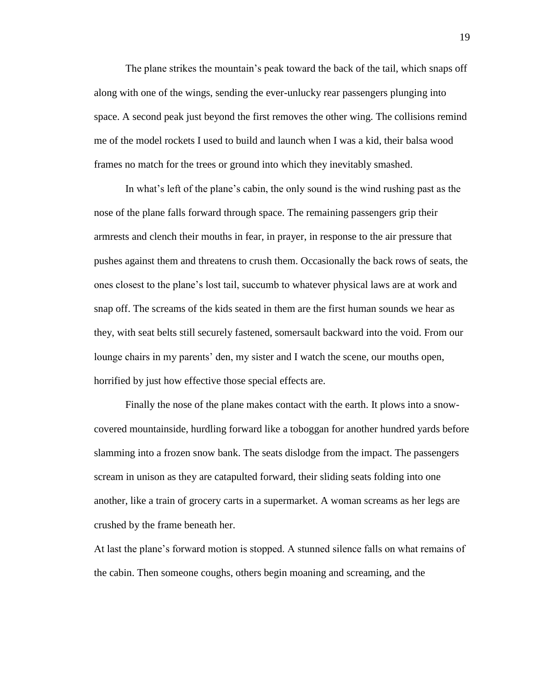The plane strikes the mountain's peak toward the back of the tail, which snaps off along with one of the wings, sending the ever-unlucky rear passengers plunging into space. A second peak just beyond the first removes the other wing. The collisions remind me of the model rockets I used to build and launch when I was a kid, their balsa wood frames no match for the trees or ground into which they inevitably smashed.

In what's left of the plane's cabin, the only sound is the wind rushing past as the nose of the plane falls forward through space. The remaining passengers grip their armrests and clench their mouths in fear, in prayer, in response to the air pressure that pushes against them and threatens to crush them. Occasionally the back rows of seats, the ones closest to the plane's lost tail, succumb to whatever physical laws are at work and snap off. The screams of the kids seated in them are the first human sounds we hear as they, with seat belts still securely fastened, somersault backward into the void. From our lounge chairs in my parents' den, my sister and I watch the scene, our mouths open, horrified by just how effective those special effects are.

Finally the nose of the plane makes contact with the earth. It plows into a snowcovered mountainside, hurdling forward like a toboggan for another hundred yards before slamming into a frozen snow bank. The seats dislodge from the impact. The passengers scream in unison as they are catapulted forward, their sliding seats folding into one another, like a train of grocery carts in a supermarket. A woman screams as her legs are crushed by the frame beneath her.

At last the plane's forward motion is stopped. A stunned silence falls on what remains of the cabin. Then someone coughs, others begin moaning and screaming, and the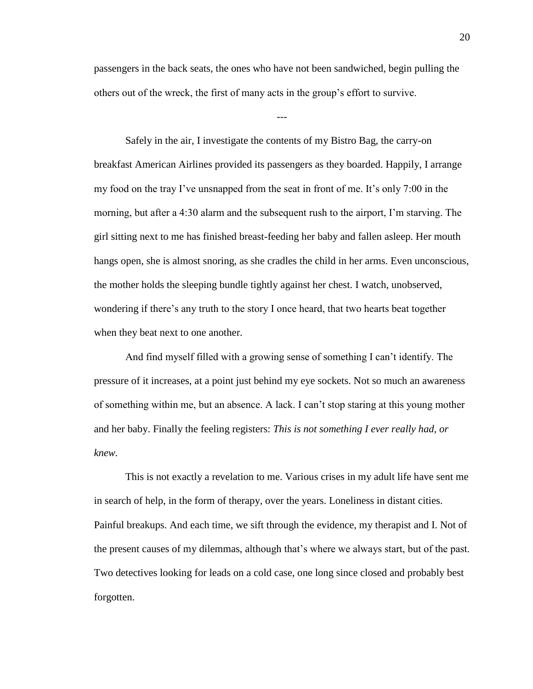passengers in the back seats, the ones who have not been sandwiched, begin pulling the others out of the wreck, the first of many acts in the group's effort to survive.

---

Safely in the air, I investigate the contents of my Bistro Bag, the carry-on breakfast American Airlines provided its passengers as they boarded. Happily, I arrange my food on the tray I've unsnapped from the seat in front of me. It's only 7:00 in the morning, but after a 4:30 alarm and the subsequent rush to the airport, I'm starving. The girl sitting next to me has finished breast-feeding her baby and fallen asleep. Her mouth hangs open, she is almost snoring, as she cradles the child in her arms. Even unconscious, the mother holds the sleeping bundle tightly against her chest. I watch, unobserved, wondering if there's any truth to the story I once heard, that two hearts beat together when they beat next to one another.

And find myself filled with a growing sense of something I can't identify. The pressure of it increases, at a point just behind my eye sockets. Not so much an awareness of something within me, but an absence. A lack. I can't stop staring at this young mother and her baby. Finally the feeling registers: *This is not something I ever really had, or knew.* 

This is not exactly a revelation to me. Various crises in my adult life have sent me in search of help, in the form of therapy, over the years. Loneliness in distant cities. Painful breakups. And each time, we sift through the evidence, my therapist and I. Not of the present causes of my dilemmas, although that's where we always start, but of the past. Two detectives looking for leads on a cold case, one long since closed and probably best forgotten.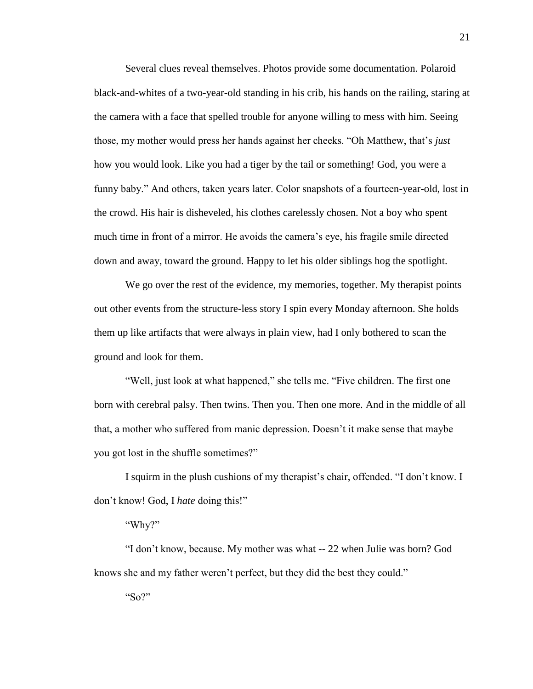Several clues reveal themselves. Photos provide some documentation. Polaroid black-and-whites of a two-year-old standing in his crib, his hands on the railing, staring at the camera with a face that spelled trouble for anyone willing to mess with him. Seeing those, my mother would press her hands against her cheeks. "Oh Matthew, that's *just* how you would look. Like you had a tiger by the tail or something! God, you were a funny baby." And others, taken years later. Color snapshots of a fourteen-year-old, lost in the crowd. His hair is disheveled, his clothes carelessly chosen. Not a boy who spent much time in front of a mirror. He avoids the camera's eye, his fragile smile directed down and away, toward the ground. Happy to let his older siblings hog the spotlight.

We go over the rest of the evidence, my memories, together. My therapist points out other events from the structure-less story I spin every Monday afternoon. She holds them up like artifacts that were always in plain view, had I only bothered to scan the ground and look for them.

"Well, just look at what happened," she tells me. "Five children. The first one born with cerebral palsy. Then twins. Then you. Then one more. And in the middle of all that, a mother who suffered from manic depression. Doesn't it make sense that maybe you got lost in the shuffle sometimes?"

I squirm in the plush cushions of my therapist's chair, offended. "I don't know. I don't know! God, I *hate* doing this!"

#### "Why?"

"I don't know, because. My mother was what -- 22 when Julie was born? God knows she and my father weren't perfect, but they did the best they could."

"So?"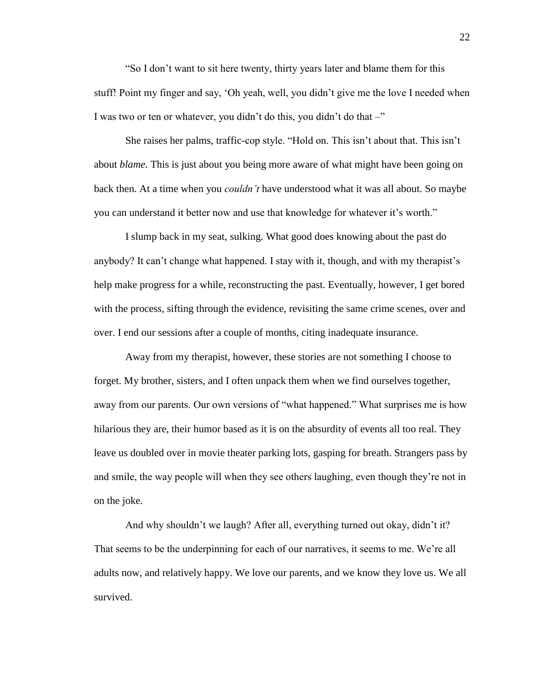"So I don't want to sit here twenty, thirty years later and blame them for this stuff! Point my finger and say, 'Oh yeah, well, you didn't give me the love I needed when I was two or ten or whatever, you didn't do this, you didn't do that  $-$ "

She raises her palms, traffic-cop style. "Hold on. This isn't about that. This isn't about *blame*. This is just about you being more aware of what might have been going on back then. At a time when you *couldn't* have understood what it was all about. So maybe you can understand it better now and use that knowledge for whatever it's worth."

I slump back in my seat, sulking. What good does knowing about the past do anybody? It can't change what happened. I stay with it, though, and with my therapist's help make progress for a while, reconstructing the past. Eventually, however, I get bored with the process, sifting through the evidence, revisiting the same crime scenes, over and over. I end our sessions after a couple of months, citing inadequate insurance.

Away from my therapist, however, these stories are not something I choose to forget. My brother, sisters, and I often unpack them when we find ourselves together, away from our parents. Our own versions of "what happened." What surprises me is how hilarious they are, their humor based as it is on the absurdity of events all too real. They leave us doubled over in movie theater parking lots, gasping for breath. Strangers pass by and smile, the way people will when they see others laughing, even though they're not in on the joke.

And why shouldn't we laugh? After all, everything turned out okay, didn't it? That seems to be the underpinning for each of our narratives, it seems to me. We're all adults now, and relatively happy. We love our parents, and we know they love us. We all survived.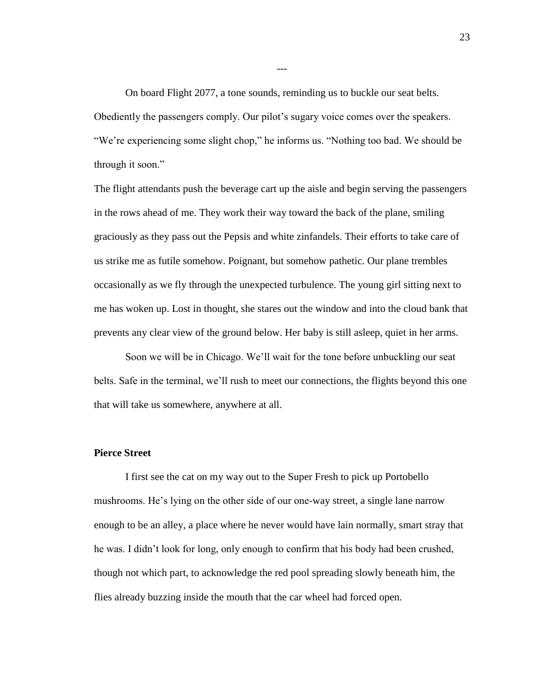On board Flight 2077, a tone sounds, reminding us to buckle our seat belts. Obediently the passengers comply. Our pilot's sugary voice comes over the speakers. "We're experiencing some slight chop," he informs us. "Nothing too bad. We should be through it soon."

---

The flight attendants push the beverage cart up the aisle and begin serving the passengers in the rows ahead of me. They work their way toward the back of the plane, smiling graciously as they pass out the Pepsis and white zinfandels. Their efforts to take care of us strike me as futile somehow. Poignant, but somehow pathetic. Our plane trembles occasionally as we fly through the unexpected turbulence. The young girl sitting next to me has woken up. Lost in thought, she stares out the window and into the cloud bank that prevents any clear view of the ground below. Her baby is still asleep, quiet in her arms.

Soon we will be in Chicago. We'll wait for the tone before unbuckling our seat belts. Safe in the terminal, we'll rush to meet our connections, the flights beyond this one that will take us somewhere, anywhere at all.

#### **Pierce Street**

I first see the cat on my way out to the Super Fresh to pick up Portobello mushrooms. He's lying on the other side of our one-way street, a single lane narrow enough to be an alley, a place where he never would have lain normally, smart stray that he was. I didn't look for long, only enough to confirm that his body had been crushed, though not which part, to acknowledge the red pool spreading slowly beneath him, the flies already buzzing inside the mouth that the car wheel had forced open.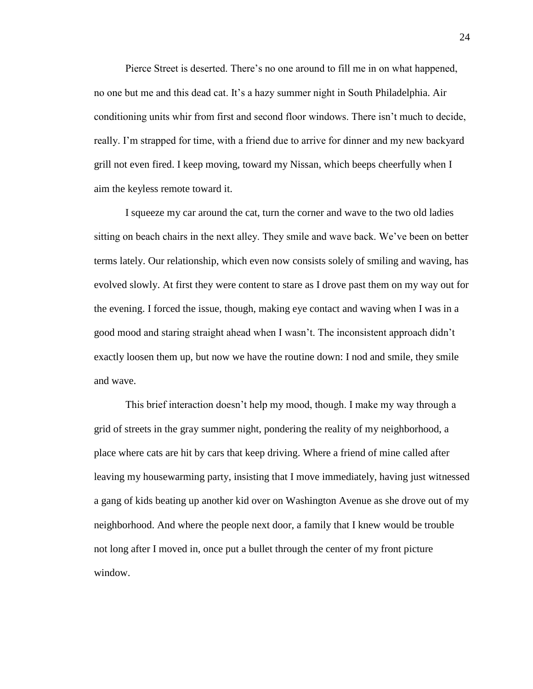Pierce Street is deserted. There's no one around to fill me in on what happened, no one but me and this dead cat. It's a hazy summer night in South Philadelphia. Air conditioning units whir from first and second floor windows. There isn't much to decide, really. I'm strapped for time, with a friend due to arrive for dinner and my new backyard grill not even fired. I keep moving, toward my Nissan, which beeps cheerfully when I aim the keyless remote toward it.

I squeeze my car around the cat, turn the corner and wave to the two old ladies sitting on beach chairs in the next alley. They smile and wave back. We've been on better terms lately. Our relationship, which even now consists solely of smiling and waving, has evolved slowly. At first they were content to stare as I drove past them on my way out for the evening. I forced the issue, though, making eye contact and waving when I was in a good mood and staring straight ahead when I wasn't. The inconsistent approach didn't exactly loosen them up, but now we have the routine down: I nod and smile, they smile and wave.

This brief interaction doesn't help my mood, though. I make my way through a grid of streets in the gray summer night, pondering the reality of my neighborhood, a place where cats are hit by cars that keep driving. Where a friend of mine called after leaving my housewarming party, insisting that I move immediately, having just witnessed a gang of kids beating up another kid over on Washington Avenue as she drove out of my neighborhood. And where the people next door, a family that I knew would be trouble not long after I moved in, once put a bullet through the center of my front picture window.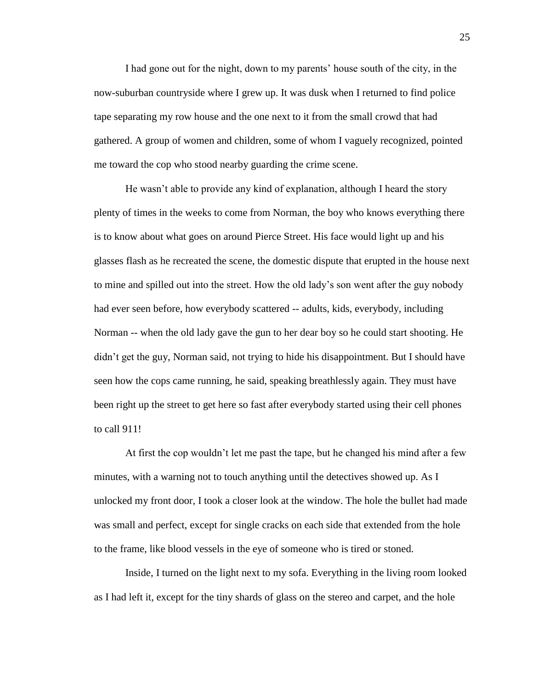I had gone out for the night, down to my parents' house south of the city, in the now-suburban countryside where I grew up. It was dusk when I returned to find police tape separating my row house and the one next to it from the small crowd that had gathered. A group of women and children, some of whom I vaguely recognized, pointed me toward the cop who stood nearby guarding the crime scene.

He wasn't able to provide any kind of explanation, although I heard the story plenty of times in the weeks to come from Norman, the boy who knows everything there is to know about what goes on around Pierce Street. His face would light up and his glasses flash as he recreated the scene, the domestic dispute that erupted in the house next to mine and spilled out into the street. How the old lady's son went after the guy nobody had ever seen before, how everybody scattered -- adults, kids, everybody, including Norman -- when the old lady gave the gun to her dear boy so he could start shooting. He didn't get the guy, Norman said, not trying to hide his disappointment. But I should have seen how the cops came running, he said, speaking breathlessly again. They must have been right up the street to get here so fast after everybody started using their cell phones to call 911!

At first the cop wouldn't let me past the tape, but he changed his mind after a few minutes, with a warning not to touch anything until the detectives showed up. As I unlocked my front door, I took a closer look at the window. The hole the bullet had made was small and perfect, except for single cracks on each side that extended from the hole to the frame, like blood vessels in the eye of someone who is tired or stoned.

Inside, I turned on the light next to my sofa. Everything in the living room looked as I had left it, except for the tiny shards of glass on the stereo and carpet, and the hole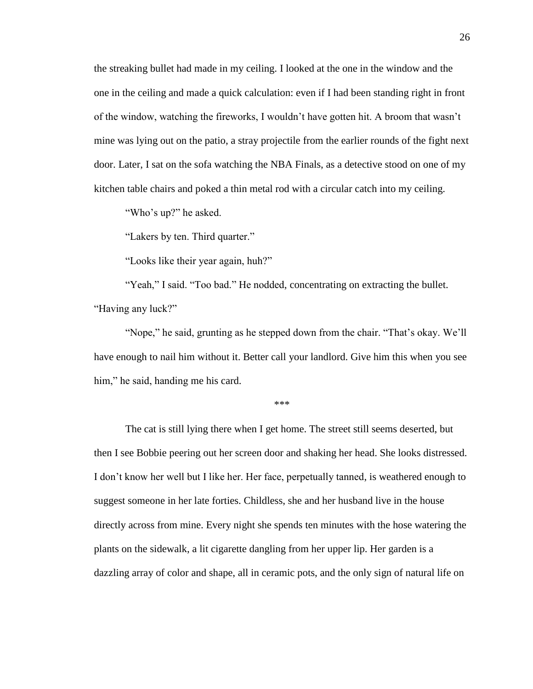the streaking bullet had made in my ceiling. I looked at the one in the window and the one in the ceiling and made a quick calculation: even if I had been standing right in front of the window, watching the fireworks, I wouldn't have gotten hit. A broom that wasn't mine was lying out on the patio, a stray projectile from the earlier rounds of the fight next door. Later, I sat on the sofa watching the NBA Finals, as a detective stood on one of my kitchen table chairs and poked a thin metal rod with a circular catch into my ceiling.

"Who's up?" he asked.

"Lakers by ten. Third quarter."

"Looks like their year again, huh?"

"Yeah," I said. "Too bad." He nodded, concentrating on extracting the bullet. "Having any luck?"

"Nope," he said, grunting as he stepped down from the chair. "That's okay. We'll have enough to nail him without it. Better call your landlord. Give him this when you see him," he said, handing me his card.

\*\*\*

The cat is still lying there when I get home. The street still seems deserted, but then I see Bobbie peering out her screen door and shaking her head. She looks distressed. I don't know her well but I like her. Her face, perpetually tanned, is weathered enough to suggest someone in her late forties. Childless, she and her husband live in the house directly across from mine. Every night she spends ten minutes with the hose watering the plants on the sidewalk, a lit cigarette dangling from her upper lip. Her garden is a dazzling array of color and shape, all in ceramic pots, and the only sign of natural life on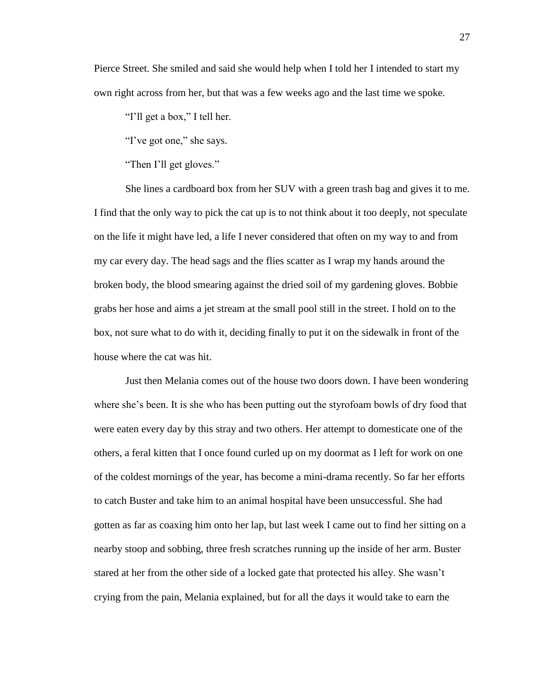Pierce Street. She smiled and said she would help when I told her I intended to start my own right across from her, but that was a few weeks ago and the last time we spoke.

"I'll get a box," I tell her.

"I've got one," she says.

"Then I'll get gloves."

She lines a cardboard box from her SUV with a green trash bag and gives it to me. I find that the only way to pick the cat up is to not think about it too deeply, not speculate on the life it might have led, a life I never considered that often on my way to and from my car every day. The head sags and the flies scatter as I wrap my hands around the broken body, the blood smearing against the dried soil of my gardening gloves. Bobbie grabs her hose and aims a jet stream at the small pool still in the street. I hold on to the box, not sure what to do with it, deciding finally to put it on the sidewalk in front of the house where the cat was hit.

Just then Melania comes out of the house two doors down. I have been wondering where she's been. It is she who has been putting out the styrofoam bowls of dry food that were eaten every day by this stray and two others. Her attempt to domesticate one of the others, a feral kitten that I once found curled up on my doormat as I left for work on one of the coldest mornings of the year, has become a mini-drama recently. So far her efforts to catch Buster and take him to an animal hospital have been unsuccessful. She had gotten as far as coaxing him onto her lap, but last week I came out to find her sitting on a nearby stoop and sobbing, three fresh scratches running up the inside of her arm. Buster stared at her from the other side of a locked gate that protected his alley. She wasn't crying from the pain, Melania explained, but for all the days it would take to earn the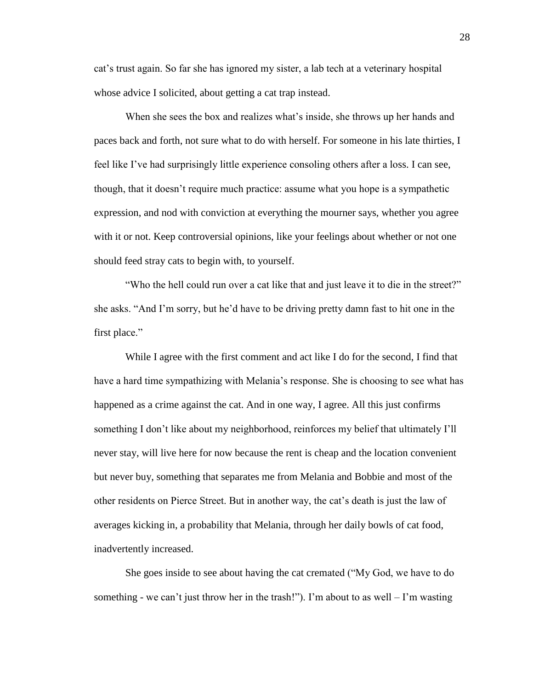cat's trust again. So far she has ignored my sister, a lab tech at a veterinary hospital whose advice I solicited, about getting a cat trap instead.

When she sees the box and realizes what's inside, she throws up her hands and paces back and forth, not sure what to do with herself. For someone in his late thirties, I feel like I've had surprisingly little experience consoling others after a loss. I can see, though, that it doesn't require much practice: assume what you hope is a sympathetic expression, and nod with conviction at everything the mourner says, whether you agree with it or not. Keep controversial opinions, like your feelings about whether or not one should feed stray cats to begin with, to yourself.

"Who the hell could run over a cat like that and just leave it to die in the street?" she asks. "And I'm sorry, but he'd have to be driving pretty damn fast to hit one in the first place."

While I agree with the first comment and act like I do for the second, I find that have a hard time sympathizing with Melania's response. She is choosing to see what has happened as a crime against the cat. And in one way, I agree. All this just confirms something I don't like about my neighborhood, reinforces my belief that ultimately I'll never stay, will live here for now because the rent is cheap and the location convenient but never buy, something that separates me from Melania and Bobbie and most of the other residents on Pierce Street. But in another way, the cat's death is just the law of averages kicking in, a probability that Melania, through her daily bowls of cat food, inadvertently increased.

She goes inside to see about having the cat cremated ("My God, we have to do something - we can't just throw her in the trash!"). I'm about to as well  $-$  I'm wasting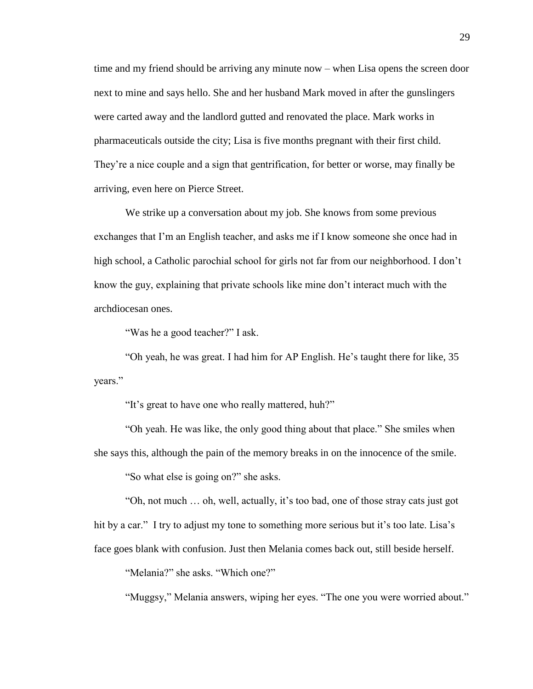time and my friend should be arriving any minute now – when Lisa opens the screen door next to mine and says hello. She and her husband Mark moved in after the gunslingers were carted away and the landlord gutted and renovated the place. Mark works in pharmaceuticals outside the city; Lisa is five months pregnant with their first child. They're a nice couple and a sign that gentrification, for better or worse, may finally be arriving, even here on Pierce Street.

We strike up a conversation about my job. She knows from some previous exchanges that I'm an English teacher, and asks me if I know someone she once had in high school, a Catholic parochial school for girls not far from our neighborhood. I don't know the guy, explaining that private schools like mine don't interact much with the archdiocesan ones.

"Was he a good teacher?" I ask.

"Oh yeah, he was great. I had him for AP English. He's taught there for like, 35 years."

"It's great to have one who really mattered, huh?"

"Oh yeah. He was like, the only good thing about that place." She smiles when she says this, although the pain of the memory breaks in on the innocence of the smile.

"So what else is going on?" she asks.

"Oh, not much … oh, well, actually, it's too bad, one of those stray cats just got hit by a car." I try to adjust my tone to something more serious but it's too late. Lisa's face goes blank with confusion. Just then Melania comes back out, still beside herself.

"Melania?" she asks. "Which one?"

"Muggsy," Melania answers, wiping her eyes. "The one you were worried about."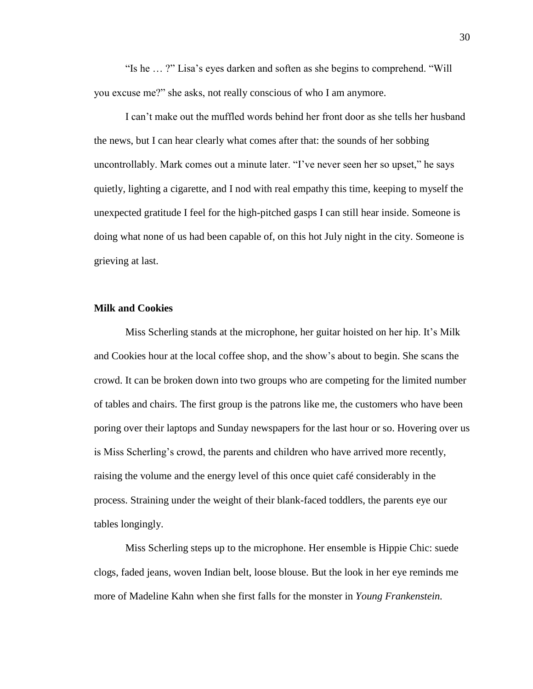"Is he … ?" Lisa's eyes darken and soften as she begins to comprehend. "Will you excuse me?" she asks, not really conscious of who I am anymore.

I can't make out the muffled words behind her front door as she tells her husband the news, but I can hear clearly what comes after that: the sounds of her sobbing uncontrollably. Mark comes out a minute later. "I've never seen her so upset," he says quietly, lighting a cigarette, and I nod with real empathy this time, keeping to myself the unexpected gratitude I feel for the high-pitched gasps I can still hear inside. Someone is doing what none of us had been capable of, on this hot July night in the city. Someone is grieving at last.

#### **Milk and Cookies**

Miss Scherling stands at the microphone, her guitar hoisted on her hip. It's Milk and Cookies hour at the local coffee shop, and the show's about to begin. She scans the crowd. It can be broken down into two groups who are competing for the limited number of tables and chairs. The first group is the patrons like me, the customers who have been poring over their laptops and Sunday newspapers for the last hour or so. Hovering over us is Miss Scherling's crowd, the parents and children who have arrived more recently, raising the volume and the energy level of this once quiet café considerably in the process. Straining under the weight of their blank-faced toddlers, the parents eye our tables longingly.

Miss Scherling steps up to the microphone. Her ensemble is Hippie Chic: suede clogs, faded jeans, woven Indian belt, loose blouse. But the look in her eye reminds me more of Madeline Kahn when she first falls for the monster in *Young Frankenstein.*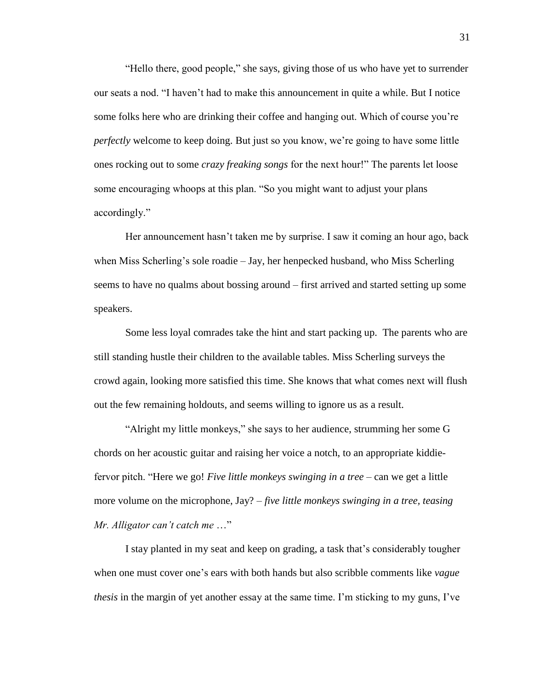"Hello there, good people," she says, giving those of us who have yet to surrender our seats a nod. "I haven't had to make this announcement in quite a while. But I notice some folks here who are drinking their coffee and hanging out. Which of course you're *perfectly* welcome to keep doing. But just so you know, we're going to have some little ones rocking out to some *crazy freaking songs* for the next hour!" The parents let loose some encouraging whoops at this plan. "So you might want to adjust your plans accordingly."

Her announcement hasn't taken me by surprise. I saw it coming an hour ago, back when Miss Scherling's sole roadie – Jay, her henpecked husband, who Miss Scherling seems to have no qualms about bossing around – first arrived and started setting up some speakers.

Some less loyal comrades take the hint and start packing up. The parents who are still standing hustle their children to the available tables. Miss Scherling surveys the crowd again, looking more satisfied this time. She knows that what comes next will flush out the few remaining holdouts, and seems willing to ignore us as a result.

"Alright my little monkeys," she says to her audience, strumming her some G chords on her acoustic guitar and raising her voice a notch, to an appropriate kiddiefervor pitch. "Here we go! *Five little monkeys swinging in a tree –* can we get a little more volume on the microphone, Jay? – *five little monkeys swinging in a tree, teasing Mr. Alligator can't catch me* …"

I stay planted in my seat and keep on grading, a task that's considerably tougher when one must cover one's ears with both hands but also scribble comments like *vague thesis* in the margin of yet another essay at the same time. I'm sticking to my guns, I've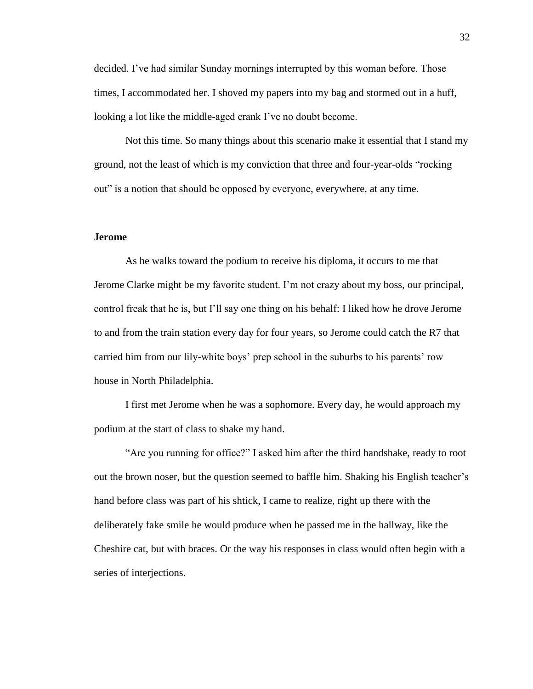decided. I've had similar Sunday mornings interrupted by this woman before. Those times, I accommodated her. I shoved my papers into my bag and stormed out in a huff, looking a lot like the middle-aged crank I've no doubt become.

Not this time. So many things about this scenario make it essential that I stand my ground, not the least of which is my conviction that three and four-year-olds "rocking out" is a notion that should be opposed by everyone, everywhere, at any time.

#### **Jerome**

As he walks toward the podium to receive his diploma, it occurs to me that Jerome Clarke might be my favorite student. I'm not crazy about my boss, our principal, control freak that he is, but I'll say one thing on his behalf: I liked how he drove Jerome to and from the train station every day for four years, so Jerome could catch the R7 that carried him from our lily-white boys' prep school in the suburbs to his parents' row house in North Philadelphia.

I first met Jerome when he was a sophomore. Every day, he would approach my podium at the start of class to shake my hand.

"Are you running for office?" I asked him after the third handshake, ready to root out the brown noser, but the question seemed to baffle him. Shaking his English teacher's hand before class was part of his shtick, I came to realize, right up there with the deliberately fake smile he would produce when he passed me in the hallway, like the Cheshire cat, but with braces. Or the way his responses in class would often begin with a series of interjections.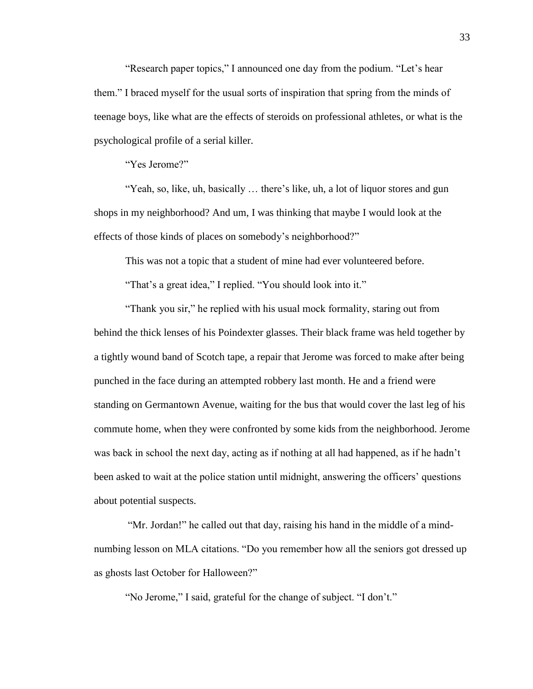"Research paper topics," I announced one day from the podium. "Let's hear them." I braced myself for the usual sorts of inspiration that spring from the minds of teenage boys, like what are the effects of steroids on professional athletes, or what is the psychological profile of a serial killer.

"Yes Jerome?"

"Yeah, so, like, uh, basically … there's like, uh, a lot of liquor stores and gun shops in my neighborhood? And um, I was thinking that maybe I would look at the effects of those kinds of places on somebody's neighborhood?"

This was not a topic that a student of mine had ever volunteered before.

"That's a great idea," I replied. "You should look into it."

"Thank you sir," he replied with his usual mock formality, staring out from behind the thick lenses of his Poindexter glasses. Their black frame was held together by a tightly wound band of Scotch tape, a repair that Jerome was forced to make after being punched in the face during an attempted robbery last month. He and a friend were standing on Germantown Avenue, waiting for the bus that would cover the last leg of his commute home, when they were confronted by some kids from the neighborhood. Jerome was back in school the next day, acting as if nothing at all had happened, as if he hadn't been asked to wait at the police station until midnight, answering the officers' questions about potential suspects.

"Mr. Jordan!" he called out that day, raising his hand in the middle of a mindnumbing lesson on MLA citations. "Do you remember how all the seniors got dressed up as ghosts last October for Halloween?"

"No Jerome," I said, grateful for the change of subject. "I don't."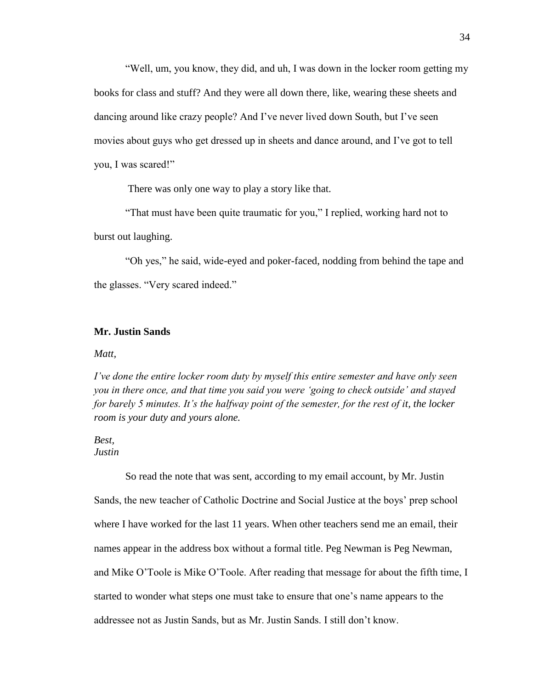"Well, um, you know, they did, and uh, I was down in the locker room getting my books for class and stuff? And they were all down there, like, wearing these sheets and dancing around like crazy people? And I've never lived down South, but I've seen movies about guys who get dressed up in sheets and dance around, and I've got to tell you, I was scared!"

There was only one way to play a story like that.

"That must have been quite traumatic for you," I replied, working hard not to burst out laughing.

"Oh yes," he said, wide-eyed and poker-faced, nodding from behind the tape and the glasses. "Very scared indeed."

#### **Mr. Justin Sands**

*Matt,*

*I've done the entire locker room duty by myself this entire semester and have only seen you in there once, and that time you said you were 'going to check outside' and stayed for barely 5 minutes. It's the halfway point of the semester, for the rest of it, the locker room is your duty and yours alone.*

#### *Best, Justin*

So read the note that was sent, according to my email account, by Mr. Justin Sands, the new teacher of Catholic Doctrine and Social Justice at the boys' prep school where I have worked for the last 11 years. When other teachers send me an email, their names appear in the address box without a formal title. Peg Newman is Peg Newman, and Mike O'Toole is Mike O'Toole. After reading that message for about the fifth time, I started to wonder what steps one must take to ensure that one's name appears to the addressee not as Justin Sands, but as Mr. Justin Sands. I still don't know.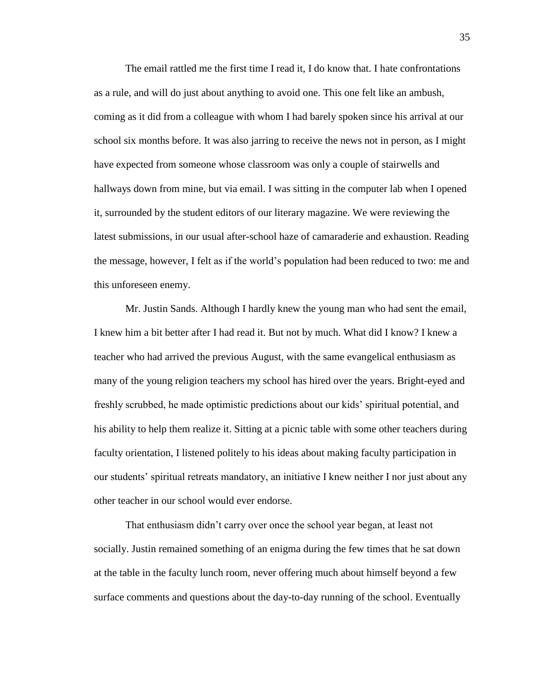The email rattled me the first time I read it, I do know that. I hate confrontations as a rule, and will do just about anything to avoid one. This one felt like an ambush, coming as it did from a colleague with whom I had barely spoken since his arrival at our school six months before. It was also jarring to receive the news not in person, as I might have expected from someone whose classroom was only a couple of stairwells and hallways down from mine, but via email. I was sitting in the computer lab when I opened it, surrounded by the student editors of our literary magazine. We were reviewing the latest submissions, in our usual after-school haze of camaraderie and exhaustion. Reading the message, however, I felt as if the world's population had been reduced to two: me and this unforeseen enemy.

Mr. Justin Sands. Although I hardly knew the young man who had sent the email, I knew him a bit better after I had read it. But not by much. What did I know? I knew a teacher who had arrived the previous August, with the same evangelical enthusiasm as many of the young religion teachers my school has hired over the years. Bright-eyed and freshly scrubbed, he made optimistic predictions about our kids' spiritual potential, and his ability to help them realize it. Sitting at a picnic table with some other teachers during faculty orientation, I listened politely to his ideas about making faculty participation in our students' spiritual retreats mandatory, an initiative I knew neither I nor just about any other teacher in our school would ever endorse.

That enthusiasm didn't carry over once the school year began, at least not socially. Justin remained something of an enigma during the few times that he sat down at the table in the faculty lunch room, never offering much about himself beyond a few surface comments and questions about the day-to-day running of the school. Eventually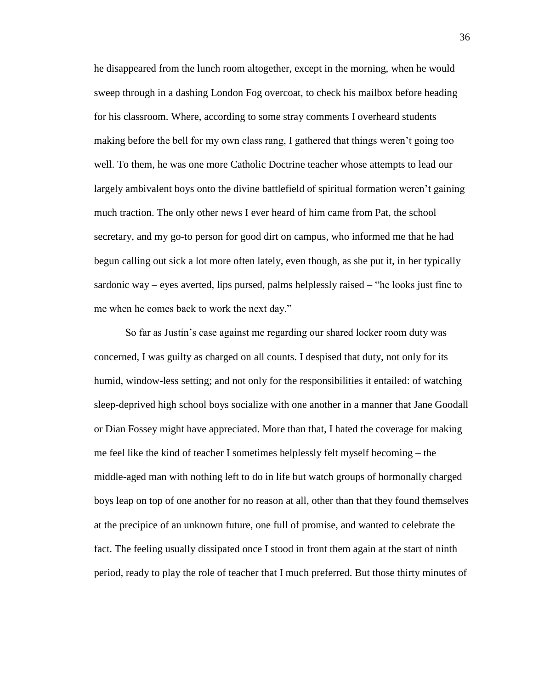he disappeared from the lunch room altogether, except in the morning, when he would sweep through in a dashing London Fog overcoat, to check his mailbox before heading for his classroom. Where, according to some stray comments I overheard students making before the bell for my own class rang, I gathered that things weren't going too well. To them, he was one more Catholic Doctrine teacher whose attempts to lead our largely ambivalent boys onto the divine battlefield of spiritual formation weren't gaining much traction. The only other news I ever heard of him came from Pat, the school secretary, and my go-to person for good dirt on campus, who informed me that he had begun calling out sick a lot more often lately, even though, as she put it, in her typically sardonic way – eyes averted, lips pursed, palms helplessly raised – "he looks just fine to me when he comes back to work the next day."

So far as Justin's case against me regarding our shared locker room duty was concerned, I was guilty as charged on all counts. I despised that duty, not only for its humid, window-less setting; and not only for the responsibilities it entailed: of watching sleep-deprived high school boys socialize with one another in a manner that Jane Goodall or Dian Fossey might have appreciated. More than that, I hated the coverage for making me feel like the kind of teacher I sometimes helplessly felt myself becoming – the middle-aged man with nothing left to do in life but watch groups of hormonally charged boys leap on top of one another for no reason at all, other than that they found themselves at the precipice of an unknown future, one full of promise, and wanted to celebrate the fact. The feeling usually dissipated once I stood in front them again at the start of ninth period, ready to play the role of teacher that I much preferred. But those thirty minutes of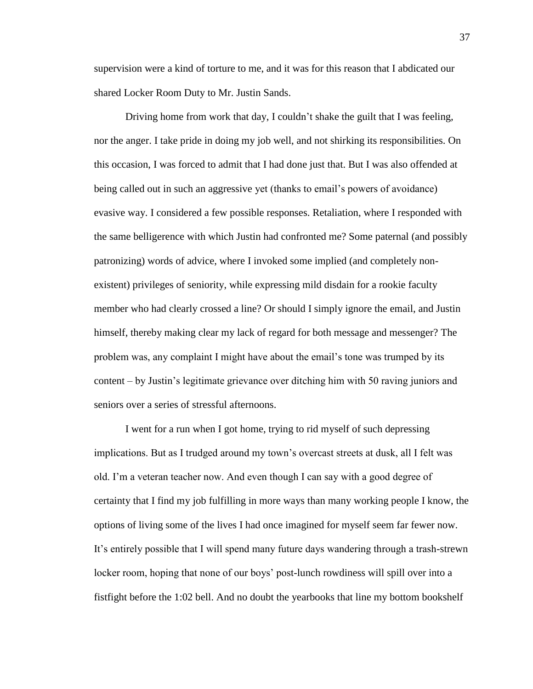supervision were a kind of torture to me, and it was for this reason that I abdicated our shared Locker Room Duty to Mr. Justin Sands.

Driving home from work that day, I couldn't shake the guilt that I was feeling, nor the anger. I take pride in doing my job well, and not shirking its responsibilities. On this occasion, I was forced to admit that I had done just that. But I was also offended at being called out in such an aggressive yet (thanks to email's powers of avoidance) evasive way. I considered a few possible responses. Retaliation, where I responded with the same belligerence with which Justin had confronted me? Some paternal (and possibly patronizing) words of advice, where I invoked some implied (and completely nonexistent) privileges of seniority, while expressing mild disdain for a rookie faculty member who had clearly crossed a line? Or should I simply ignore the email, and Justin himself, thereby making clear my lack of regard for both message and messenger? The problem was, any complaint I might have about the email's tone was trumped by its content – by Justin's legitimate grievance over ditching him with 50 raving juniors and seniors over a series of stressful afternoons.

I went for a run when I got home, trying to rid myself of such depressing implications. But as I trudged around my town's overcast streets at dusk, all I felt was old. I'm a veteran teacher now. And even though I can say with a good degree of certainty that I find my job fulfilling in more ways than many working people I know, the options of living some of the lives I had once imagined for myself seem far fewer now. It's entirely possible that I will spend many future days wandering through a trash-strewn locker room, hoping that none of our boys' post-lunch rowdiness will spill over into a fistfight before the 1:02 bell. And no doubt the yearbooks that line my bottom bookshelf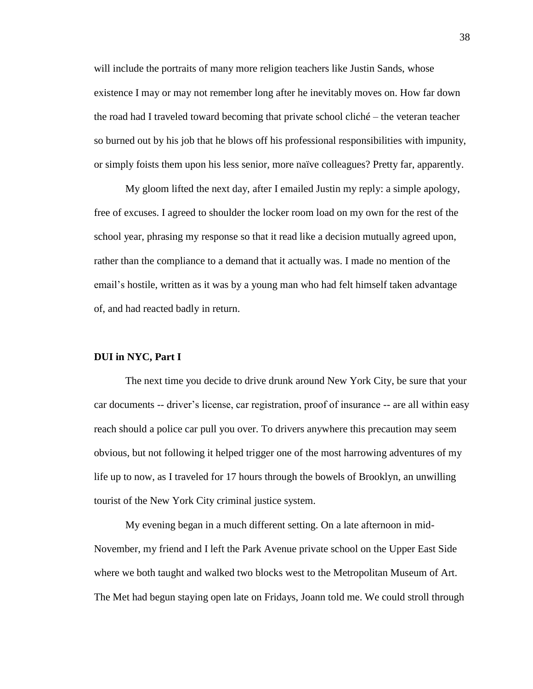will include the portraits of many more religion teachers like Justin Sands, whose existence I may or may not remember long after he inevitably moves on. How far down the road had I traveled toward becoming that private school cliché – the veteran teacher so burned out by his job that he blows off his professional responsibilities with impunity, or simply foists them upon his less senior, more naïve colleagues? Pretty far, apparently.

My gloom lifted the next day, after I emailed Justin my reply: a simple apology, free of excuses. I agreed to shoulder the locker room load on my own for the rest of the school year, phrasing my response so that it read like a decision mutually agreed upon, rather than the compliance to a demand that it actually was. I made no mention of the email's hostile, written as it was by a young man who had felt himself taken advantage of, and had reacted badly in return.

#### **DUI in NYC, Part I**

The next time you decide to drive drunk around New York City, be sure that your car documents -- driver's license, car registration, proof of insurance -- are all within easy reach should a police car pull you over. To drivers anywhere this precaution may seem obvious, but not following it helped trigger one of the most harrowing adventures of my life up to now, as I traveled for 17 hours through the bowels of Brooklyn, an unwilling tourist of the New York City criminal justice system.

My evening began in a much different setting. On a late afternoon in mid-November, my friend and I left the Park Avenue private school on the Upper East Side where we both taught and walked two blocks west to the Metropolitan Museum of Art. The Met had begun staying open late on Fridays, Joann told me. We could stroll through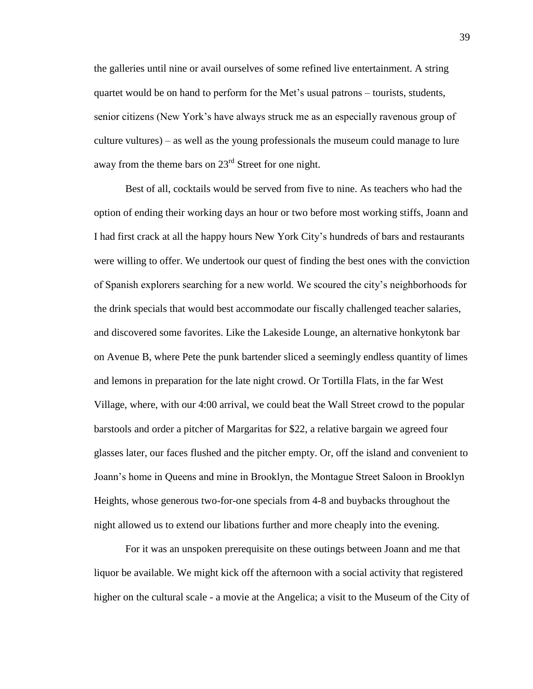the galleries until nine or avail ourselves of some refined live entertainment. A string quartet would be on hand to perform for the Met's usual patrons – tourists, students, senior citizens (New York's have always struck me as an especially ravenous group of culture vultures) – as well as the young professionals the museum could manage to lure away from the theme bars on 23<sup>rd</sup> Street for one night.

Best of all, cocktails would be served from five to nine. As teachers who had the option of ending their working days an hour or two before most working stiffs, Joann and I had first crack at all the happy hours New York City's hundreds of bars and restaurants were willing to offer. We undertook our quest of finding the best ones with the conviction of Spanish explorers searching for a new world. We scoured the city's neighborhoods for the drink specials that would best accommodate our fiscally challenged teacher salaries, and discovered some favorites. Like the Lakeside Lounge, an alternative honkytonk bar on Avenue B, where Pete the punk bartender sliced a seemingly endless quantity of limes and lemons in preparation for the late night crowd. Or Tortilla Flats, in the far West Village, where, with our 4:00 arrival, we could beat the Wall Street crowd to the popular barstools and order a pitcher of Margaritas for \$22, a relative bargain we agreed four glasses later, our faces flushed and the pitcher empty. Or, off the island and convenient to Joann's home in Queens and mine in Brooklyn, the Montague Street Saloon in Brooklyn Heights, whose generous two-for-one specials from 4-8 and buybacks throughout the night allowed us to extend our libations further and more cheaply into the evening.

For it was an unspoken prerequisite on these outings between Joann and me that liquor be available. We might kick off the afternoon with a social activity that registered higher on the cultural scale - a movie at the Angelica; a visit to the Museum of the City of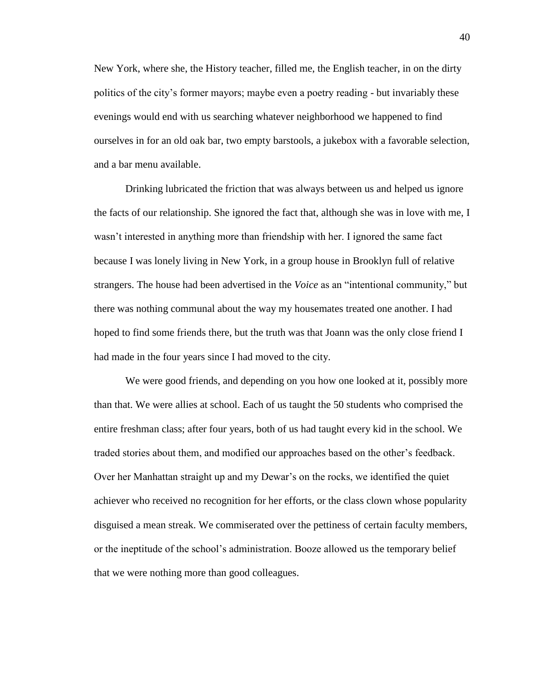New York, where she, the History teacher, filled me, the English teacher, in on the dirty politics of the city's former mayors; maybe even a poetry reading - but invariably these evenings would end with us searching whatever neighborhood we happened to find ourselves in for an old oak bar, two empty barstools, a jukebox with a favorable selection, and a bar menu available.

Drinking lubricated the friction that was always between us and helped us ignore the facts of our relationship. She ignored the fact that, although she was in love with me, I wasn't interested in anything more than friendship with her. I ignored the same fact because I was lonely living in New York, in a group house in Brooklyn full of relative strangers. The house had been advertised in the *Voice* as an "intentional community," but there was nothing communal about the way my housemates treated one another. I had hoped to find some friends there, but the truth was that Joann was the only close friend I had made in the four years since I had moved to the city.

We were good friends, and depending on you how one looked at it, possibly more than that. We were allies at school. Each of us taught the 50 students who comprised the entire freshman class; after four years, both of us had taught every kid in the school. We traded stories about them, and modified our approaches based on the other's feedback. Over her Manhattan straight up and my Dewar's on the rocks, we identified the quiet achiever who received no recognition for her efforts, or the class clown whose popularity disguised a mean streak. We commiserated over the pettiness of certain faculty members, or the ineptitude of the school's administration. Booze allowed us the temporary belief that we were nothing more than good colleagues.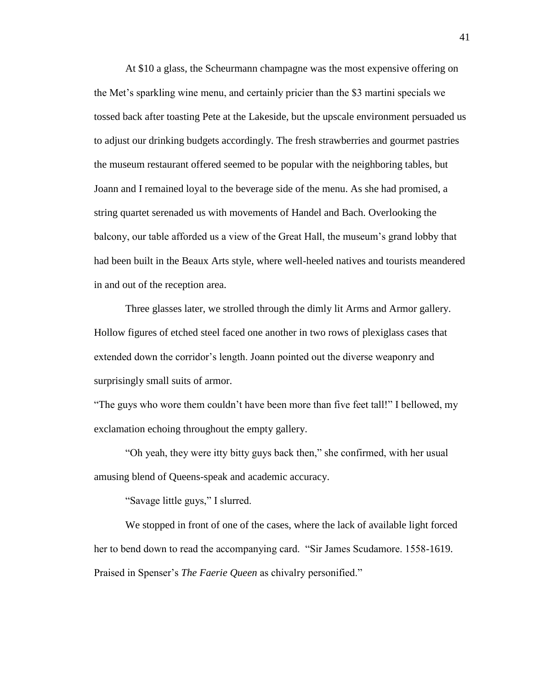At \$10 a glass, the Scheurmann champagne was the most expensive offering on the Met's sparkling wine menu, and certainly pricier than the \$3 martini specials we tossed back after toasting Pete at the Lakeside, but the upscale environment persuaded us to adjust our drinking budgets accordingly. The fresh strawberries and gourmet pastries the museum restaurant offered seemed to be popular with the neighboring tables, but Joann and I remained loyal to the beverage side of the menu. As she had promised, a string quartet serenaded us with movements of Handel and Bach. Overlooking the balcony, our table afforded us a view of the Great Hall, the museum's grand lobby that had been built in the Beaux Arts style, where well-heeled natives and tourists meandered in and out of the reception area.

Three glasses later, we strolled through the dimly lit Arms and Armor gallery. Hollow figures of etched steel faced one another in two rows of plexiglass cases that extended down the corridor's length. Joann pointed out the diverse weaponry and surprisingly small suits of armor.

"The guys who wore them couldn't have been more than five feet tall!" I bellowed, my exclamation echoing throughout the empty gallery.

"Oh yeah, they were itty bitty guys back then," she confirmed, with her usual amusing blend of Queens-speak and academic accuracy.

"Savage little guys," I slurred.

We stopped in front of one of the cases, where the lack of available light forced her to bend down to read the accompanying card. "Sir James Scudamore. 1558-1619. Praised in Spenser's *The Faerie Queen* as chivalry personified."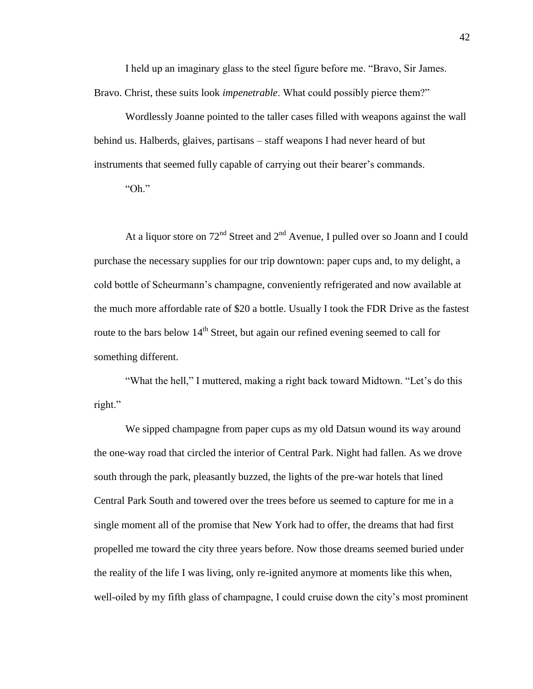I held up an imaginary glass to the steel figure before me. "Bravo, Sir James. Bravo. Christ, these suits look *impenetrable*. What could possibly pierce them?"

Wordlessly Joanne pointed to the taller cases filled with weapons against the wall behind us. Halberds, glaives, partisans – staff weapons I had never heard of but instruments that seemed fully capable of carrying out their bearer's commands.

"Oh."

At a liquor store on  $72<sup>nd</sup>$  Street and  $2<sup>nd</sup>$  Avenue, I pulled over so Joann and I could purchase the necessary supplies for our trip downtown: paper cups and, to my delight, a cold bottle of Scheurmann's champagne, conveniently refrigerated and now available at the much more affordable rate of \$20 a bottle. Usually I took the FDR Drive as the fastest route to the bars below  $14<sup>th</sup>$  Street, but again our refined evening seemed to call for something different.

"What the hell," I muttered, making a right back toward Midtown. "Let's do this right."

We sipped champagne from paper cups as my old Datsun wound its way around the one-way road that circled the interior of Central Park. Night had fallen. As we drove south through the park, pleasantly buzzed, the lights of the pre-war hotels that lined Central Park South and towered over the trees before us seemed to capture for me in a single moment all of the promise that New York had to offer, the dreams that had first propelled me toward the city three years before. Now those dreams seemed buried under the reality of the life I was living, only re-ignited anymore at moments like this when, well-oiled by my fifth glass of champagne, I could cruise down the city's most prominent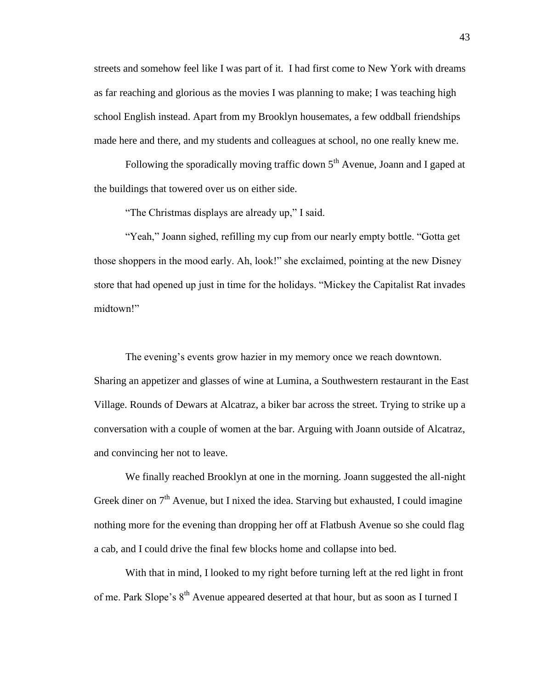streets and somehow feel like I was part of it. I had first come to New York with dreams as far reaching and glorious as the movies I was planning to make; I was teaching high school English instead. Apart from my Brooklyn housemates, a few oddball friendships made here and there, and my students and colleagues at school, no one really knew me.

Following the sporadically moving traffic down  $5<sup>th</sup>$  Avenue, Joann and I gaped at the buildings that towered over us on either side.

"The Christmas displays are already up," I said.

"Yeah," Joann sighed, refilling my cup from our nearly empty bottle. "Gotta get those shoppers in the mood early. Ah, look!" she exclaimed, pointing at the new Disney store that had opened up just in time for the holidays. "Mickey the Capitalist Rat invades midtown!"

The evening's events grow hazier in my memory once we reach downtown. Sharing an appetizer and glasses of wine at Lumina, a Southwestern restaurant in the East Village. Rounds of Dewars at Alcatraz, a biker bar across the street. Trying to strike up a conversation with a couple of women at the bar. Arguing with Joann outside of Alcatraz, and convincing her not to leave.

We finally reached Brooklyn at one in the morning. Joann suggested the all-night Greek diner on  $7<sup>th</sup>$  Avenue, but I nixed the idea. Starving but exhausted, I could imagine nothing more for the evening than dropping her off at Flatbush Avenue so she could flag a cab, and I could drive the final few blocks home and collapse into bed.

With that in mind, I looked to my right before turning left at the red light in front of me. Park Slope's  $8<sup>th</sup>$  Avenue appeared deserted at that hour, but as soon as I turned I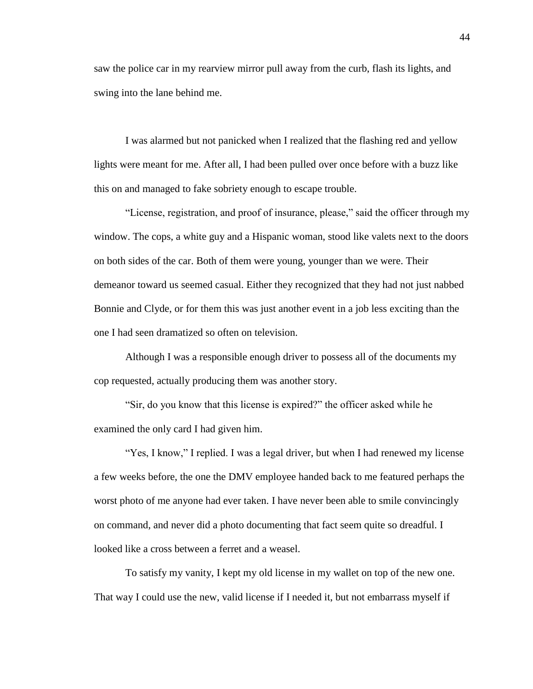saw the police car in my rearview mirror pull away from the curb, flash its lights, and swing into the lane behind me.

I was alarmed but not panicked when I realized that the flashing red and yellow lights were meant for me. After all, I had been pulled over once before with a buzz like this on and managed to fake sobriety enough to escape trouble.

"License, registration, and proof of insurance, please," said the officer through my window. The cops, a white guy and a Hispanic woman, stood like valets next to the doors on both sides of the car. Both of them were young, younger than we were. Their demeanor toward us seemed casual. Either they recognized that they had not just nabbed Bonnie and Clyde, or for them this was just another event in a job less exciting than the one I had seen dramatized so often on television.

Although I was a responsible enough driver to possess all of the documents my cop requested, actually producing them was another story.

"Sir, do you know that this license is expired?" the officer asked while he examined the only card I had given him.

"Yes, I know," I replied. I was a legal driver, but when I had renewed my license a few weeks before, the one the DMV employee handed back to me featured perhaps the worst photo of me anyone had ever taken. I have never been able to smile convincingly on command, and never did a photo documenting that fact seem quite so dreadful. I looked like a cross between a ferret and a weasel.

To satisfy my vanity, I kept my old license in my wallet on top of the new one. That way I could use the new, valid license if I needed it, but not embarrass myself if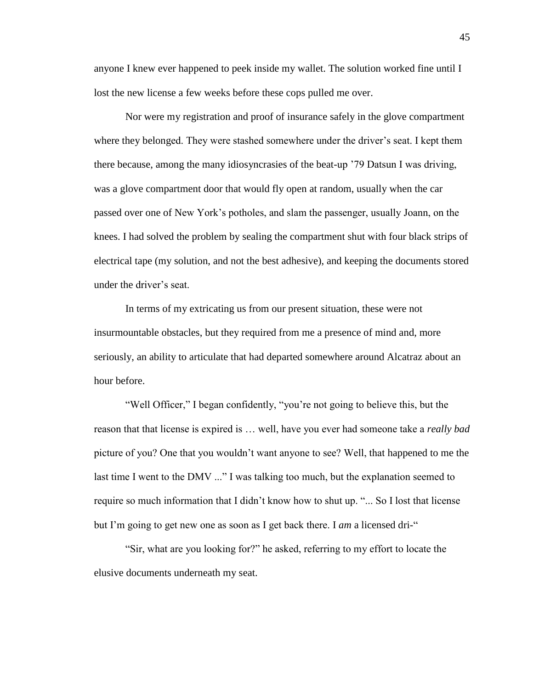anyone I knew ever happened to peek inside my wallet. The solution worked fine until I lost the new license a few weeks before these cops pulled me over.

Nor were my registration and proof of insurance safely in the glove compartment where they belonged. They were stashed somewhere under the driver's seat. I kept them there because, among the many idiosyncrasies of the beat-up '79 Datsun I was driving, was a glove compartment door that would fly open at random, usually when the car passed over one of New York's potholes, and slam the passenger, usually Joann, on the knees. I had solved the problem by sealing the compartment shut with four black strips of electrical tape (my solution, and not the best adhesive), and keeping the documents stored under the driver's seat.

In terms of my extricating us from our present situation, these were not insurmountable obstacles, but they required from me a presence of mind and, more seriously, an ability to articulate that had departed somewhere around Alcatraz about an hour before.

"Well Officer," I began confidently, "you're not going to believe this, but the reason that that license is expired is … well, have you ever had someone take a *really bad* picture of you? One that you wouldn't want anyone to see? Well, that happened to me the last time I went to the DMV ..." I was talking too much, but the explanation seemed to require so much information that I didn't know how to shut up. "... So I lost that license but I'm going to get new one as soon as I get back there. I *am* a licensed dri-"

"Sir, what are you looking for?" he asked, referring to my effort to locate the elusive documents underneath my seat.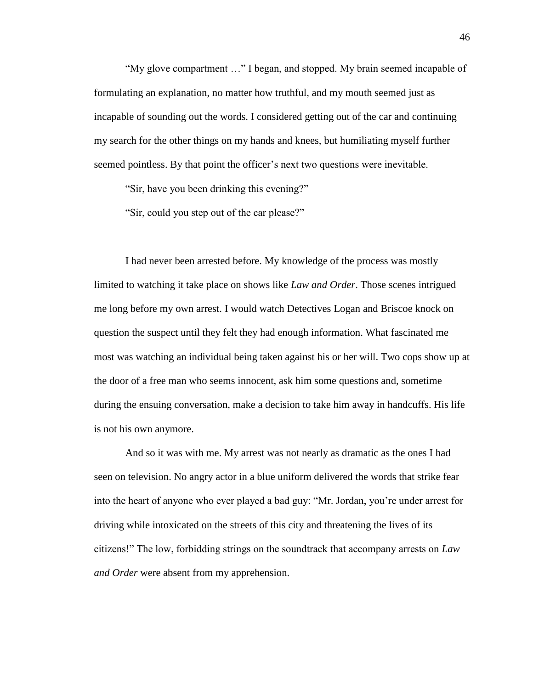"My glove compartment …" I began, and stopped. My brain seemed incapable of formulating an explanation, no matter how truthful, and my mouth seemed just as incapable of sounding out the words. I considered getting out of the car and continuing my search for the other things on my hands and knees, but humiliating myself further seemed pointless. By that point the officer's next two questions were inevitable.

"Sir, have you been drinking this evening?"

"Sir, could you step out of the car please?"

I had never been arrested before. My knowledge of the process was mostly limited to watching it take place on shows like *Law and Order*. Those scenes intrigued me long before my own arrest. I would watch Detectives Logan and Briscoe knock on question the suspect until they felt they had enough information. What fascinated me most was watching an individual being taken against his or her will. Two cops show up at the door of a free man who seems innocent, ask him some questions and, sometime during the ensuing conversation, make a decision to take him away in handcuffs. His life is not his own anymore.

And so it was with me. My arrest was not nearly as dramatic as the ones I had seen on television. No angry actor in a blue uniform delivered the words that strike fear into the heart of anyone who ever played a bad guy: "Mr. Jordan, you're under arrest for driving while intoxicated on the streets of this city and threatening the lives of its citizens!" The low, forbidding strings on the soundtrack that accompany arrests on *Law and Order* were absent from my apprehension.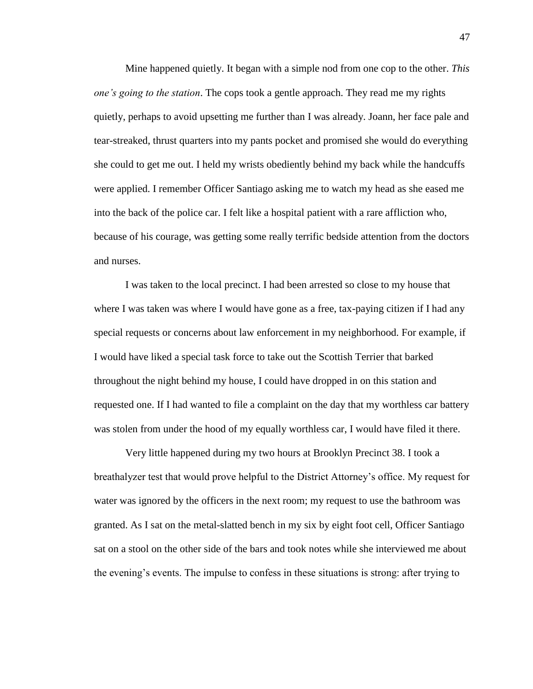Mine happened quietly. It began with a simple nod from one cop to the other. *This one's going to the station*. The cops took a gentle approach. They read me my rights quietly, perhaps to avoid upsetting me further than I was already. Joann, her face pale and tear-streaked, thrust quarters into my pants pocket and promised she would do everything she could to get me out. I held my wrists obediently behind my back while the handcuffs were applied. I remember Officer Santiago asking me to watch my head as she eased me into the back of the police car. I felt like a hospital patient with a rare affliction who, because of his courage, was getting some really terrific bedside attention from the doctors and nurses.

I was taken to the local precinct. I had been arrested so close to my house that where I was taken was where I would have gone as a free, tax-paying citizen if I had any special requests or concerns about law enforcement in my neighborhood. For example, if I would have liked a special task force to take out the Scottish Terrier that barked throughout the night behind my house, I could have dropped in on this station and requested one. If I had wanted to file a complaint on the day that my worthless car battery was stolen from under the hood of my equally worthless car, I would have filed it there.

Very little happened during my two hours at Brooklyn Precinct 38. I took a breathalyzer test that would prove helpful to the District Attorney's office. My request for water was ignored by the officers in the next room; my request to use the bathroom was granted. As I sat on the metal-slatted bench in my six by eight foot cell, Officer Santiago sat on a stool on the other side of the bars and took notes while she interviewed me about the evening's events. The impulse to confess in these situations is strong: after trying to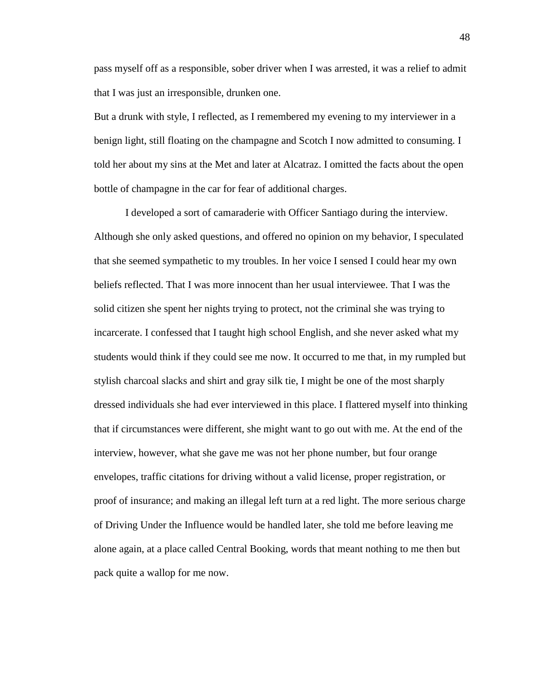pass myself off as a responsible, sober driver when I was arrested, it was a relief to admit that I was just an irresponsible, drunken one.

But a drunk with style, I reflected, as I remembered my evening to my interviewer in a benign light, still floating on the champagne and Scotch I now admitted to consuming. I told her about my sins at the Met and later at Alcatraz. I omitted the facts about the open bottle of champagne in the car for fear of additional charges.

I developed a sort of camaraderie with Officer Santiago during the interview. Although she only asked questions, and offered no opinion on my behavior, I speculated that she seemed sympathetic to my troubles. In her voice I sensed I could hear my own beliefs reflected. That I was more innocent than her usual interviewee. That I was the solid citizen she spent her nights trying to protect, not the criminal she was trying to incarcerate. I confessed that I taught high school English, and she never asked what my students would think if they could see me now. It occurred to me that, in my rumpled but stylish charcoal slacks and shirt and gray silk tie, I might be one of the most sharply dressed individuals she had ever interviewed in this place. I flattered myself into thinking that if circumstances were different, she might want to go out with me. At the end of the interview, however, what she gave me was not her phone number, but four orange envelopes, traffic citations for driving without a valid license, proper registration, or proof of insurance; and making an illegal left turn at a red light. The more serious charge of Driving Under the Influence would be handled later, she told me before leaving me alone again, at a place called Central Booking, words that meant nothing to me then but pack quite a wallop for me now.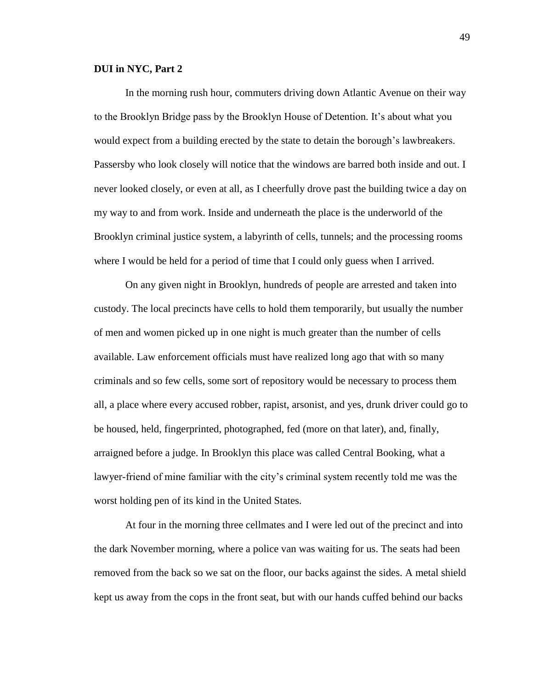#### **DUI in NYC, Part 2**

In the morning rush hour, commuters driving down Atlantic Avenue on their way to the Brooklyn Bridge pass by the Brooklyn House of Detention. It's about what you would expect from a building erected by the state to detain the borough's lawbreakers. Passersby who look closely will notice that the windows are barred both inside and out. I never looked closely, or even at all, as I cheerfully drove past the building twice a day on my way to and from work. Inside and underneath the place is the underworld of the Brooklyn criminal justice system, a labyrinth of cells, tunnels; and the processing rooms where I would be held for a period of time that I could only guess when I arrived.

On any given night in Brooklyn, hundreds of people are arrested and taken into custody. The local precincts have cells to hold them temporarily, but usually the number of men and women picked up in one night is much greater than the number of cells available. Law enforcement officials must have realized long ago that with so many criminals and so few cells, some sort of repository would be necessary to process them all, a place where every accused robber, rapist, arsonist, and yes, drunk driver could go to be housed, held, fingerprinted, photographed, fed (more on that later), and, finally, arraigned before a judge. In Brooklyn this place was called Central Booking, what a lawyer-friend of mine familiar with the city's criminal system recently told me was the worst holding pen of its kind in the United States.

 At four in the morning three cellmates and I were led out of the precinct and into the dark November morning, where a police van was waiting for us. The seats had been removed from the back so we sat on the floor, our backs against the sides. A metal shield kept us away from the cops in the front seat, but with our hands cuffed behind our backs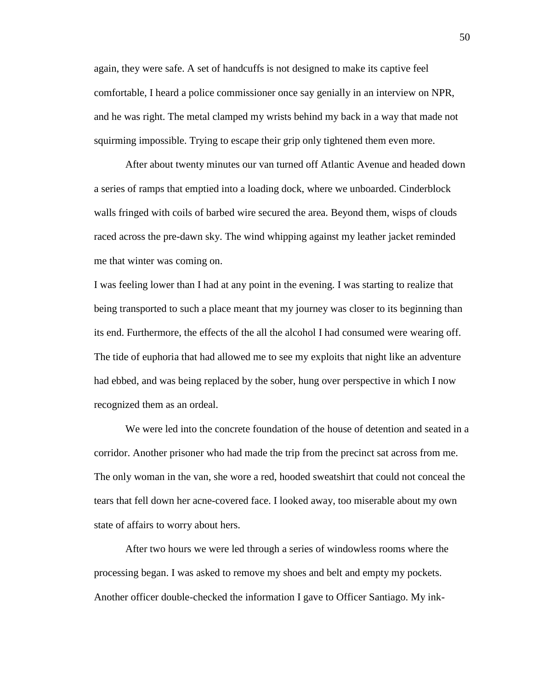again, they were safe. A set of handcuffs is not designed to make its captive feel comfortable, I heard a police commissioner once say genially in an interview on NPR, and he was right. The metal clamped my wrists behind my back in a way that made not squirming impossible. Trying to escape their grip only tightened them even more.

After about twenty minutes our van turned off Atlantic Avenue and headed down a series of ramps that emptied into a loading dock, where we unboarded. Cinderblock walls fringed with coils of barbed wire secured the area. Beyond them, wisps of clouds raced across the pre-dawn sky. The wind whipping against my leather jacket reminded me that winter was coming on.

I was feeling lower than I had at any point in the evening. I was starting to realize that being transported to such a place meant that my journey was closer to its beginning than its end. Furthermore, the effects of the all the alcohol I had consumed were wearing off. The tide of euphoria that had allowed me to see my exploits that night like an adventure had ebbed, and was being replaced by the sober, hung over perspective in which I now recognized them as an ordeal.

We were led into the concrete foundation of the house of detention and seated in a corridor. Another prisoner who had made the trip from the precinct sat across from me. The only woman in the van, she wore a red, hooded sweatshirt that could not conceal the tears that fell down her acne-covered face. I looked away, too miserable about my own state of affairs to worry about hers.

After two hours we were led through a series of windowless rooms where the processing began. I was asked to remove my shoes and belt and empty my pockets. Another officer double-checked the information I gave to Officer Santiago. My ink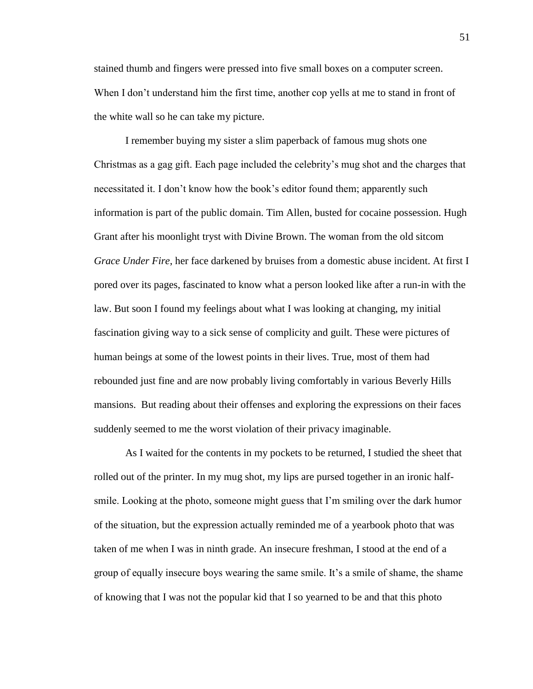stained thumb and fingers were pressed into five small boxes on a computer screen. When I don't understand him the first time, another cop yells at me to stand in front of the white wall so he can take my picture.

I remember buying my sister a slim paperback of famous mug shots one Christmas as a gag gift. Each page included the celebrity's mug shot and the charges that necessitated it. I don't know how the book's editor found them; apparently such information is part of the public domain. Tim Allen, busted for cocaine possession. Hugh Grant after his moonlight tryst with Divine Brown. The woman from the old sitcom *Grace Under Fire*, her face darkened by bruises from a domestic abuse incident. At first I pored over its pages, fascinated to know what a person looked like after a run-in with the law. But soon I found my feelings about what I was looking at changing, my initial fascination giving way to a sick sense of complicity and guilt. These were pictures of human beings at some of the lowest points in their lives. True, most of them had rebounded just fine and are now probably living comfortably in various Beverly Hills mansions. But reading about their offenses and exploring the expressions on their faces suddenly seemed to me the worst violation of their privacy imaginable.

As I waited for the contents in my pockets to be returned, I studied the sheet that rolled out of the printer. In my mug shot, my lips are pursed together in an ironic halfsmile. Looking at the photo, someone might guess that I'm smiling over the dark humor of the situation, but the expression actually reminded me of a yearbook photo that was taken of me when I was in ninth grade. An insecure freshman, I stood at the end of a group of equally insecure boys wearing the same smile. It's a smile of shame, the shame of knowing that I was not the popular kid that I so yearned to be and that this photo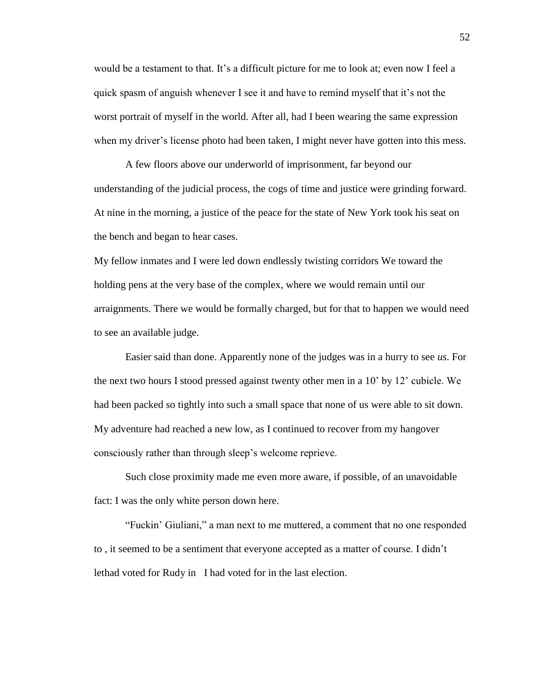would be a testament to that. It's a difficult picture for me to look at; even now I feel a quick spasm of anguish whenever I see it and have to remind myself that it's not the worst portrait of myself in the world. After all, had I been wearing the same expression when my driver's license photo had been taken, I might never have gotten into this mess.

A few floors above our underworld of imprisonment, far beyond our understanding of the judicial process, the cogs of time and justice were grinding forward. At nine in the morning, a justice of the peace for the state of New York took his seat on the bench and began to hear cases.

My fellow inmates and I were led down endlessly twisting corridors We toward the holding pens at the very base of the complex, where we would remain until our arraignments. There we would be formally charged, but for that to happen we would need to see an available judge.

Easier said than done. Apparently none of the judges was in a hurry to see *us*. For the next two hours I stood pressed against twenty other men in a 10' by 12' cubicle. We had been packed so tightly into such a small space that none of us were able to sit down. My adventure had reached a new low, as I continued to recover from my hangover consciously rather than through sleep's welcome reprieve.

Such close proximity made me even more aware, if possible, of an unavoidable fact: I was the only white person down here.

"Fuckin' Giuliani," a man next to me muttered, a comment that no one responded to , it seemed to be a sentiment that everyone accepted as a matter of course. I didn't lethad voted for Rudy in I had voted for in the last election.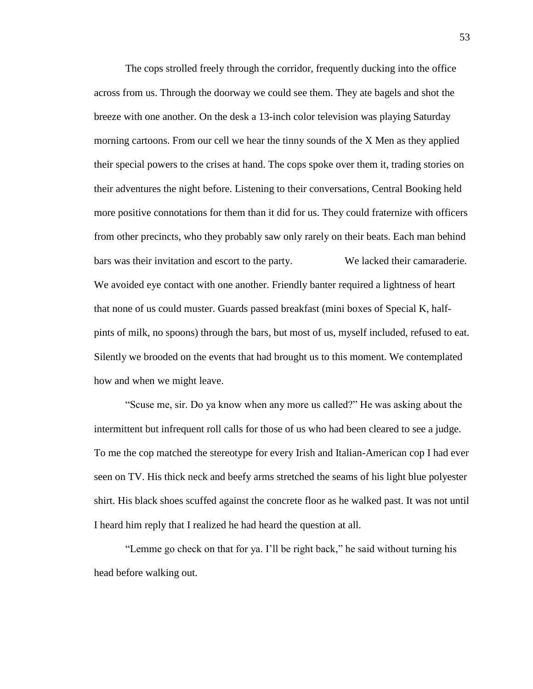The cops strolled freely through the corridor, frequently ducking into the office across from us. Through the doorway we could see them. They ate bagels and shot the breeze with one another. On the desk a 13-inch color television was playing Saturday morning cartoons. From our cell we hear the tinny sounds of the X Men as they applied their special powers to the crises at hand. The cops spoke over them it, trading stories on their adventures the night before. Listening to their conversations, Central Booking held more positive connotations for them than it did for us. They could fraternize with officers from other precincts, who they probably saw only rarely on their beats. Each man behind bars was their invitation and escort to the party. We lacked their camaraderie. We avoided eye contact with one another. Friendly banter required a lightness of heart that none of us could muster. Guards passed breakfast (mini boxes of Special K, halfpints of milk, no spoons) through the bars, but most of us, myself included, refused to eat. Silently we brooded on the events that had brought us to this moment. We contemplated how and when we might leave.

"Scuse me, sir. Do ya know when any more us called?" He was asking about the intermittent but infrequent roll calls for those of us who had been cleared to see a judge. To me the cop matched the stereotype for every Irish and Italian-American cop I had ever seen on TV. His thick neck and beefy arms stretched the seams of his light blue polyester shirt. His black shoes scuffed against the concrete floor as he walked past. It was not until I heard him reply that I realized he had heard the question at all.

"Lemme go check on that for ya. I'll be right back," he said without turning his head before walking out.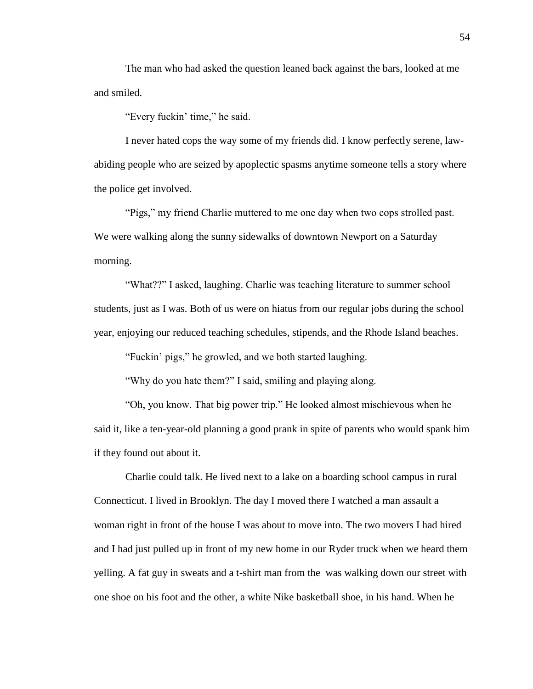The man who had asked the question leaned back against the bars, looked at me and smiled.

"Every fuckin' time," he said.

I never hated cops the way some of my friends did. I know perfectly serene, lawabiding people who are seized by apoplectic spasms anytime someone tells a story where the police get involved.

"Pigs," my friend Charlie muttered to me one day when two cops strolled past. We were walking along the sunny sidewalks of downtown Newport on a Saturday morning.

"What??" I asked, laughing. Charlie was teaching literature to summer school students, just as I was. Both of us were on hiatus from our regular jobs during the school year, enjoying our reduced teaching schedules, stipends, and the Rhode Island beaches.

"Fuckin' pigs," he growled, and we both started laughing.

"Why do you hate them?" I said, smiling and playing along.

"Oh, you know. That big power trip." He looked almost mischievous when he said it, like a ten-year-old planning a good prank in spite of parents who would spank him if they found out about it.

Charlie could talk. He lived next to a lake on a boarding school campus in rural Connecticut. I lived in Brooklyn. The day I moved there I watched a man assault a woman right in front of the house I was about to move into. The two movers I had hired and I had just pulled up in front of my new home in our Ryder truck when we heard them yelling. A fat guy in sweats and a t-shirt man from the was walking down our street with one shoe on his foot and the other, a white Nike basketball shoe, in his hand. When he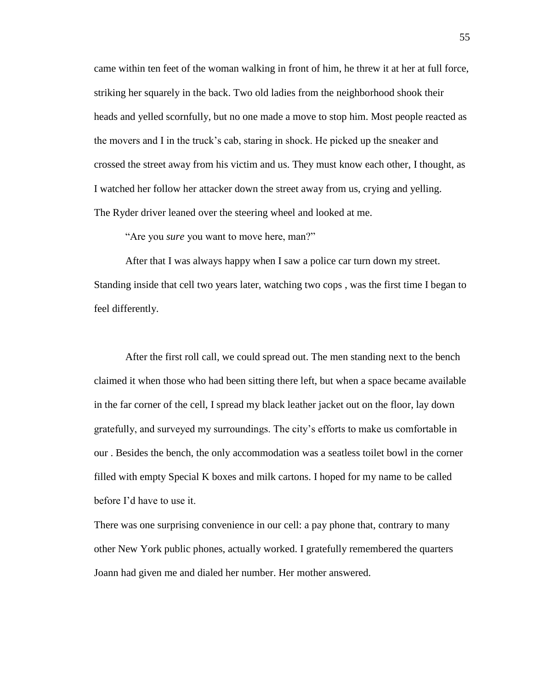came within ten feet of the woman walking in front of him, he threw it at her at full force, striking her squarely in the back. Two old ladies from the neighborhood shook their heads and yelled scornfully, but no one made a move to stop him. Most people reacted as the movers and I in the truck's cab, staring in shock. He picked up the sneaker and crossed the street away from his victim and us. They must know each other, I thought, as I watched her follow her attacker down the street away from us, crying and yelling. The Ryder driver leaned over the steering wheel and looked at me.

"Are you *sure* you want to move here, man?"

After that I was always happy when I saw a police car turn down my street. Standing inside that cell two years later, watching two cops , was the first time I began to feel differently.

After the first roll call, we could spread out. The men standing next to the bench claimed it when those who had been sitting there left, but when a space became available in the far corner of the cell, I spread my black leather jacket out on the floor, lay down gratefully, and surveyed my surroundings. The city's efforts to make us comfortable in our . Besides the bench, the only accommodation was a seatless toilet bowl in the corner filled with empty Special K boxes and milk cartons. I hoped for my name to be called before I'd have to use it.

There was one surprising convenience in our cell: a pay phone that, contrary to many other New York public phones, actually worked. I gratefully remembered the quarters Joann had given me and dialed her number. Her mother answered.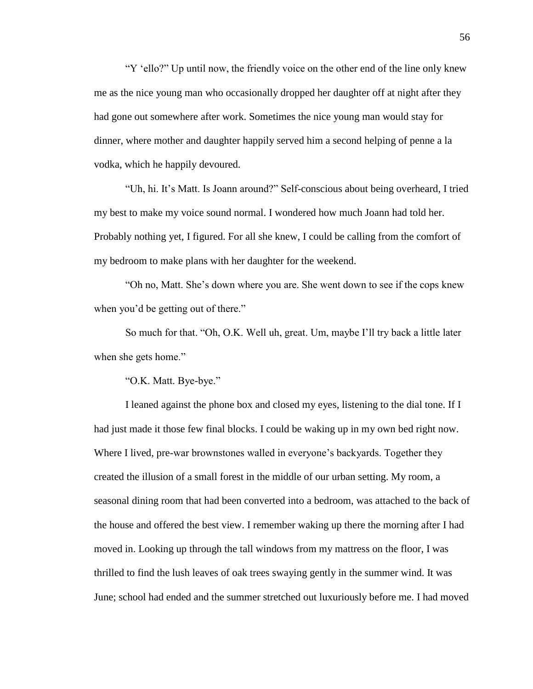"Y 'ello?" Up until now, the friendly voice on the other end of the line only knew me as the nice young man who occasionally dropped her daughter off at night after they had gone out somewhere after work. Sometimes the nice young man would stay for dinner, where mother and daughter happily served him a second helping of penne a la vodka, which he happily devoured.

"Uh, hi. It's Matt. Is Joann around?" Self-conscious about being overheard, I tried my best to make my voice sound normal. I wondered how much Joann had told her. Probably nothing yet, I figured. For all she knew, I could be calling from the comfort of my bedroom to make plans with her daughter for the weekend.

"Oh no, Matt. She's down where you are. She went down to see if the cops knew when you'd be getting out of there."

So much for that. "Oh, O.K. Well uh, great. Um, maybe I'll try back a little later when she gets home."

"O.K. Matt. Bye-bye."

I leaned against the phone box and closed my eyes, listening to the dial tone. If I had just made it those few final blocks. I could be waking up in my own bed right now. Where I lived, pre-war brownstones walled in everyone's backyards. Together they created the illusion of a small forest in the middle of our urban setting. My room, a seasonal dining room that had been converted into a bedroom, was attached to the back of the house and offered the best view. I remember waking up there the morning after I had moved in. Looking up through the tall windows from my mattress on the floor, I was thrilled to find the lush leaves of oak trees swaying gently in the summer wind. It was June; school had ended and the summer stretched out luxuriously before me. I had moved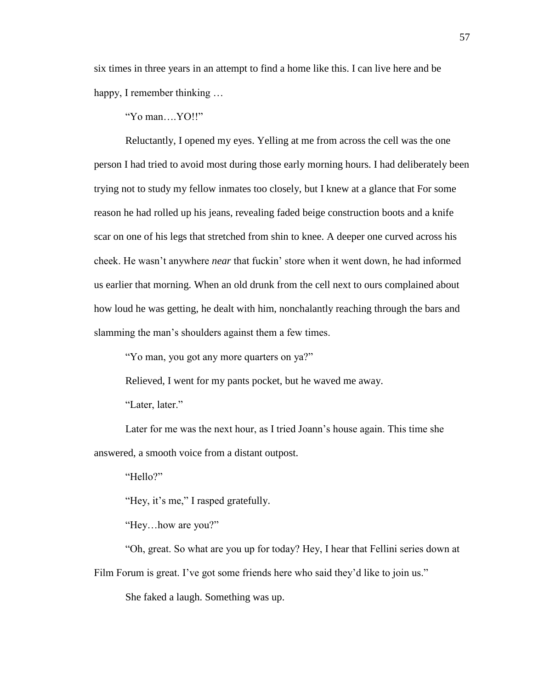six times in three years in an attempt to find a home like this. I can live here and be happy, I remember thinking ...

"Yo man….YO!!"

Reluctantly, I opened my eyes. Yelling at me from across the cell was the one person I had tried to avoid most during those early morning hours. I had deliberately been trying not to study my fellow inmates too closely, but I knew at a glance that For some reason he had rolled up his jeans, revealing faded beige construction boots and a knife scar on one of his legs that stretched from shin to knee. A deeper one curved across his cheek. He wasn't anywhere *near* that fuckin' store when it went down, he had informed us earlier that morning. When an old drunk from the cell next to ours complained about how loud he was getting, he dealt with him, nonchalantly reaching through the bars and slamming the man's shoulders against them a few times.

"Yo man, you got any more quarters on ya?"

Relieved, I went for my pants pocket, but he waved me away.

"Later, later."

Later for me was the next hour, as I tried Joann's house again. This time she answered, a smooth voice from a distant outpost.

"Hello?"

"Hey, it's me," I rasped gratefully.

"Hey…how are you?"

"Oh, great. So what are you up for today? Hey, I hear that Fellini series down at Film Forum is great. I've got some friends here who said they'd like to join us."

She faked a laugh. Something was up.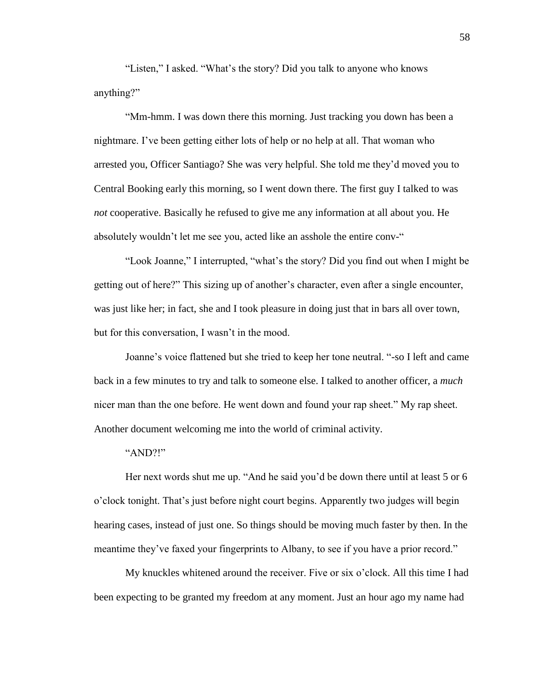"Listen," I asked. "What's the story? Did you talk to anyone who knows anything?"

"Mm-hmm. I was down there this morning. Just tracking you down has been a nightmare. I've been getting either lots of help or no help at all. That woman who arrested you, Officer Santiago? She was very helpful. She told me they'd moved you to Central Booking early this morning, so I went down there. The first guy I talked to was *not* cooperative. Basically he refused to give me any information at all about you. He absolutely wouldn't let me see you, acted like an asshole the entire conv-"

"Look Joanne," I interrupted, "what's the story? Did you find out when I might be getting out of here?" This sizing up of another's character, even after a single encounter, was just like her; in fact, she and I took pleasure in doing just that in bars all over town, but for this conversation, I wasn't in the mood.

Joanne's voice flattened but she tried to keep her tone neutral. "-so I left and came back in a few minutes to try and talk to someone else. I talked to another officer, a *much*  nicer man than the one before. He went down and found your rap sheet." My rap sheet. Another document welcoming me into the world of criminal activity.

"AND?!"

Her next words shut me up. "And he said you'd be down there until at least 5 or 6 o'clock tonight. That's just before night court begins. Apparently two judges will begin hearing cases, instead of just one. So things should be moving much faster by then. In the meantime they've faxed your fingerprints to Albany, to see if you have a prior record."

My knuckles whitened around the receiver. Five or six o'clock. All this time I had been expecting to be granted my freedom at any moment. Just an hour ago my name had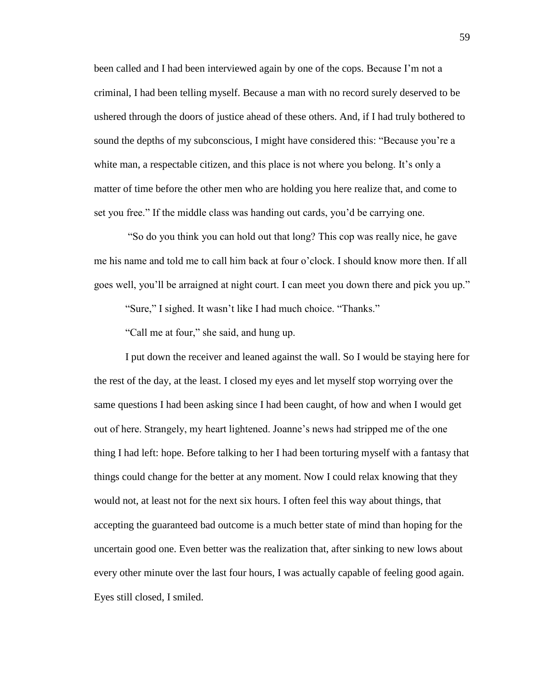been called and I had been interviewed again by one of the cops. Because I'm not a criminal, I had been telling myself. Because a man with no record surely deserved to be ushered through the doors of justice ahead of these others. And, if I had truly bothered to sound the depths of my subconscious, I might have considered this: "Because you're a white man, a respectable citizen, and this place is not where you belong. It's only a matter of time before the other men who are holding you here realize that, and come to set you free." If the middle class was handing out cards, you'd be carrying one.

"So do you think you can hold out that long? This cop was really nice, he gave me his name and told me to call him back at four o'clock. I should know more then. If all goes well, you'll be arraigned at night court. I can meet you down there and pick you up."

"Sure," I sighed. It wasn't like I had much choice. "Thanks."

"Call me at four," she said, and hung up.

I put down the receiver and leaned against the wall. So I would be staying here for the rest of the day, at the least. I closed my eyes and let myself stop worrying over the same questions I had been asking since I had been caught, of how and when I would get out of here. Strangely, my heart lightened. Joanne's news had stripped me of the one thing I had left: hope. Before talking to her I had been torturing myself with a fantasy that things could change for the better at any moment. Now I could relax knowing that they would not, at least not for the next six hours. I often feel this way about things, that accepting the guaranteed bad outcome is a much better state of mind than hoping for the uncertain good one. Even better was the realization that, after sinking to new lows about every other minute over the last four hours, I was actually capable of feeling good again. Eyes still closed, I smiled.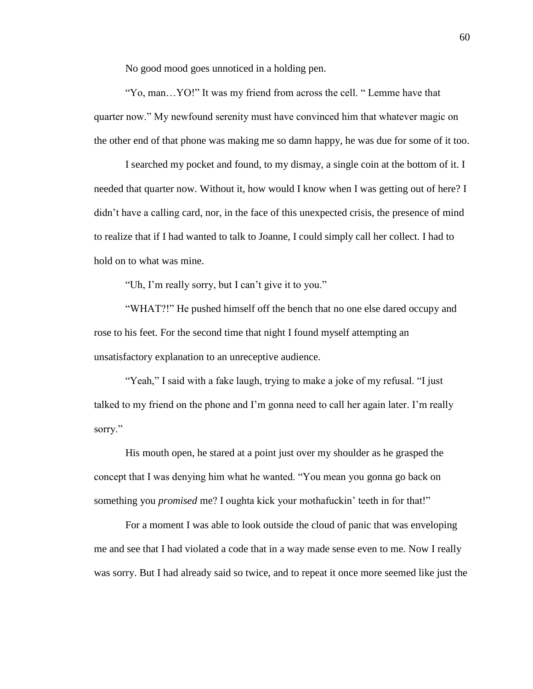No good mood goes unnoticed in a holding pen.

"Yo, man…YO!" It was my friend from across the cell. " Lemme have that quarter now." My newfound serenity must have convinced him that whatever magic on the other end of that phone was making me so damn happy, he was due for some of it too.

I searched my pocket and found, to my dismay, a single coin at the bottom of it. I needed that quarter now. Without it, how would I know when I was getting out of here? I didn't have a calling card, nor, in the face of this unexpected crisis, the presence of mind to realize that if I had wanted to talk to Joanne, I could simply call her collect. I had to hold on to what was mine.

"Uh, I'm really sorry, but I can't give it to you."

"WHAT?!" He pushed himself off the bench that no one else dared occupy and rose to his feet. For the second time that night I found myself attempting an unsatisfactory explanation to an unreceptive audience.

"Yeah," I said with a fake laugh, trying to make a joke of my refusal. "I just talked to my friend on the phone and I'm gonna need to call her again later. I'm really sorry."

His mouth open, he stared at a point just over my shoulder as he grasped the concept that I was denying him what he wanted. "You mean you gonna go back on something you *promised* me? I oughta kick your mothafuckin' teeth in for that!"

For a moment I was able to look outside the cloud of panic that was enveloping me and see that I had violated a code that in a way made sense even to me. Now I really was sorry. But I had already said so twice, and to repeat it once more seemed like just the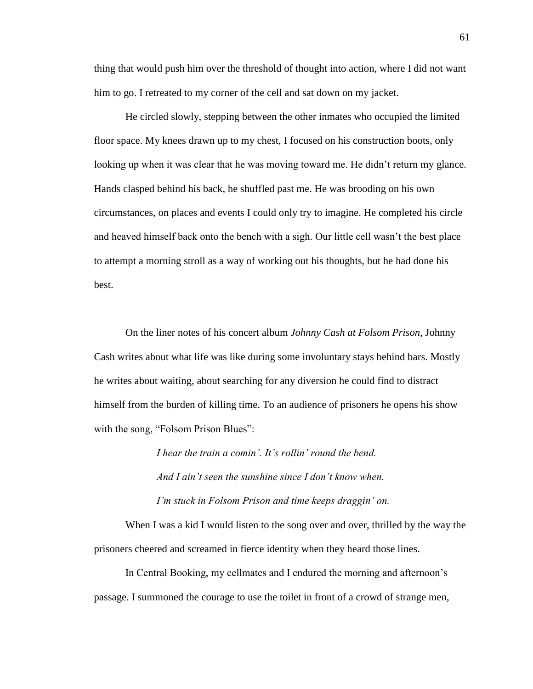thing that would push him over the threshold of thought into action, where I did not want him to go. I retreated to my corner of the cell and sat down on my jacket.

He circled slowly, stepping between the other inmates who occupied the limited floor space. My knees drawn up to my chest, I focused on his construction boots, only looking up when it was clear that he was moving toward me. He didn't return my glance. Hands clasped behind his back, he shuffled past me. He was brooding on his own circumstances, on places and events I could only try to imagine. He completed his circle and heaved himself back onto the bench with a sigh. Our little cell wasn't the best place to attempt a morning stroll as a way of working out his thoughts, but he had done his best.

On the liner notes of his concert album *Johnny Cash at Folsom Prison*, Johnny Cash writes about what life was like during some involuntary stays behind bars. Mostly he writes about waiting, about searching for any diversion he could find to distract himself from the burden of killing time. To an audience of prisoners he opens his show with the song, "Folsom Prison Blues":

> *I hear the train a comin'. It's rollin' round the bend. And I ain't seen the sunshine since I don't know when. I'm stuck in Folsom Prison and time keeps draggin' on.*

When I was a kid I would listen to the song over and over, thrilled by the way the prisoners cheered and screamed in fierce identity when they heard those lines.

In Central Booking, my cellmates and I endured the morning and afternoon's passage. I summoned the courage to use the toilet in front of a crowd of strange men,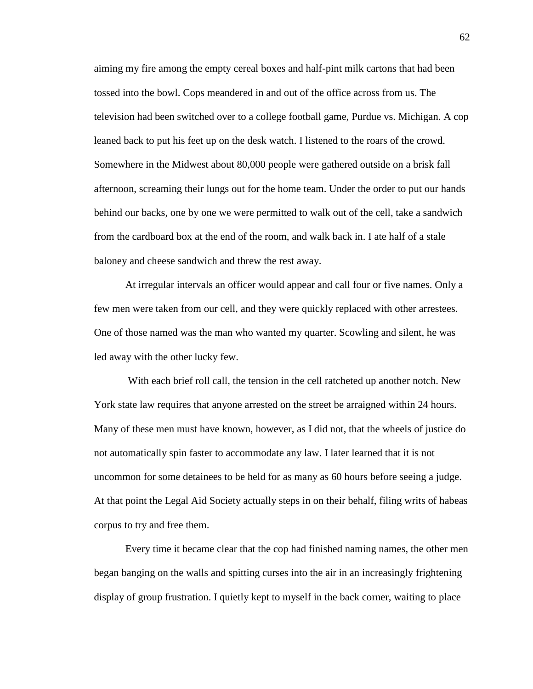aiming my fire among the empty cereal boxes and half-pint milk cartons that had been tossed into the bowl. Cops meandered in and out of the office across from us. The television had been switched over to a college football game, Purdue vs. Michigan. A cop leaned back to put his feet up on the desk watch. I listened to the roars of the crowd. Somewhere in the Midwest about 80,000 people were gathered outside on a brisk fall afternoon, screaming their lungs out for the home team. Under the order to put our hands behind our backs, one by one we were permitted to walk out of the cell, take a sandwich from the cardboard box at the end of the room, and walk back in. I ate half of a stale baloney and cheese sandwich and threw the rest away.

At irregular intervals an officer would appear and call four or five names. Only a few men were taken from our cell, and they were quickly replaced with other arrestees. One of those named was the man who wanted my quarter. Scowling and silent, he was led away with the other lucky few.

With each brief roll call, the tension in the cell ratcheted up another notch. New York state law requires that anyone arrested on the street be arraigned within 24 hours. Many of these men must have known, however, as I did not, that the wheels of justice do not automatically spin faster to accommodate any law. I later learned that it is not uncommon for some detainees to be held for as many as 60 hours before seeing a judge. At that point the Legal Aid Society actually steps in on their behalf, filing writs of habeas corpus to try and free them.

Every time it became clear that the cop had finished naming names, the other men began banging on the walls and spitting curses into the air in an increasingly frightening display of group frustration. I quietly kept to myself in the back corner, waiting to place